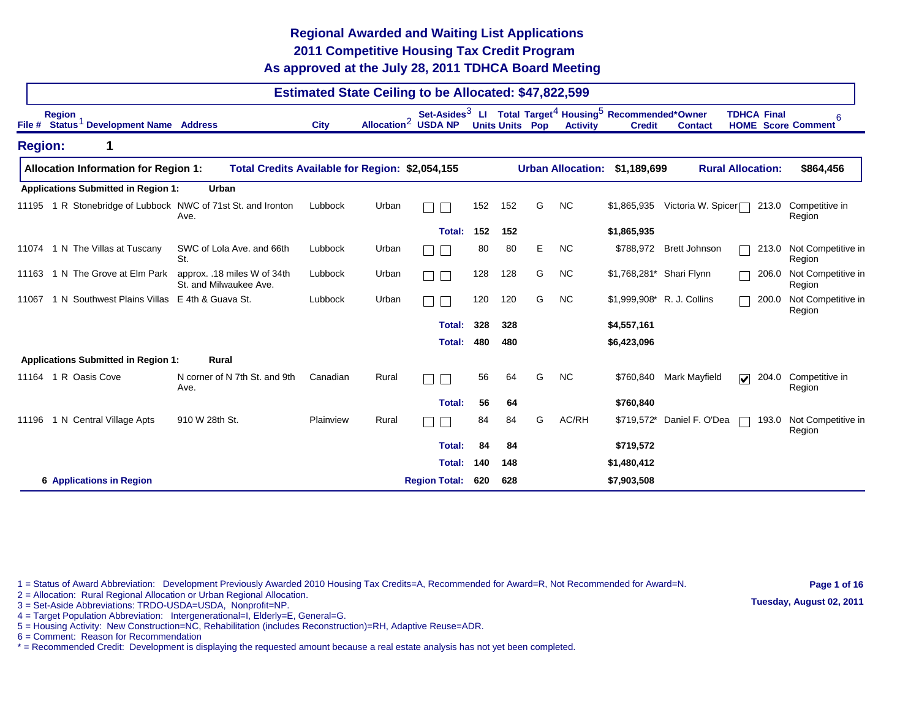## **As approved at the July 28, 2011 TDHCA Board Meeting 2011 Competitive Housing Tax Credit Program Regional Awarded and Waiting List Applications**

|                                             |                                              |                                                                |             |       | <b>Estimated State Ceiling to be Allocated: \$47,822,599</b> |     |     |                        |                          |                                                                                                              |                      |                                  |                                |
|---------------------------------------------|----------------------------------------------|----------------------------------------------------------------|-------------|-------|--------------------------------------------------------------|-----|-----|------------------------|--------------------------|--------------------------------------------------------------------------------------------------------------|----------------------|----------------------------------|--------------------------------|
| <b>Region</b><br>File #                     | Status <sup>1</sup> Development Name Address |                                                                | <b>City</b> |       | Allocation <sup>2</sup> USDA NP                              |     |     | <b>Units Units Pop</b> | <b>Activity</b>          | Set-Asides <sup>3</sup> LI Total Target <sup>4</sup> Housing <sup>5</sup> Recommended*Owner<br><b>Credit</b> | <b>Contact</b>       | <b>TDHCA Final</b>               | 6<br><b>HOME</b> Score Comment |
| <b>Region:</b>                              | $\mathbf 1$                                  |                                                                |             |       |                                                              |     |     |                        |                          |                                                                                                              |                      |                                  |                                |
| <b>Allocation Information for Region 1:</b> |                                              | Total Credits Available for Region: \$2,054,155                |             |       |                                                              |     |     |                        | <b>Urban Allocation:</b> | \$1,189,699                                                                                                  |                      | <b>Rural Allocation:</b>         | \$864,456                      |
| <b>Applications Submitted in Region 1:</b>  |                                              | <b>Urban</b>                                                   |             |       |                                                              |     |     |                        |                          |                                                                                                              |                      |                                  |                                |
| 11195                                       |                                              | 1 R Stonebridge of Lubbock NWC of 71st St. and Ironton<br>Ave. | Lubbock     | Urban |                                                              | 152 | 152 | G                      | <b>NC</b>                | \$1,865,935                                                                                                  | Victoria W. Spicer□  | 213.0                            | Competitive in<br>Region       |
|                                             |                                              |                                                                |             |       | Total:                                                       | 152 | 152 |                        |                          | \$1,865,935                                                                                                  |                      |                                  |                                |
| 1 N The Villas at Tuscany<br>11074          |                                              | SWC of Lola Ave, and 66th<br>St.                               | Lubbock     | Urban |                                                              | 80  | 80  | E.                     | <b>NC</b>                | \$788,972                                                                                                    | <b>Brett Johnson</b> | 213.0                            | Not Competitive in<br>Region   |
| 11163                                       | 1 N The Grove at Elm Park                    | approx. .18 miles W of 34th<br>St. and Milwaukee Ave.          | Lubbock     | Urban |                                                              | 128 | 128 | G                      | <b>NC</b>                | \$1,768,281* Shari Flynn                                                                                     |                      | 206.0                            | Not Competitive in<br>Region   |
| 11067                                       |                                              | 1 N Southwest Plains Villas E 4th & Guava St.                  | Lubbock     | Urban |                                                              | 120 | 120 | G                      | <b>NC</b>                | \$1,999,908* R. J. Collins                                                                                   |                      | 200.0                            | Not Competitive in<br>Region   |
|                                             |                                              |                                                                |             |       | Total:                                                       | 328 | 328 |                        |                          | \$4,557,161                                                                                                  |                      |                                  |                                |
|                                             |                                              |                                                                |             |       | <b>Total:</b>                                                | 480 | 480 |                        |                          | \$6,423,096                                                                                                  |                      |                                  |                                |
| <b>Applications Submitted in Region 1:</b>  |                                              | <b>Rural</b>                                                   |             |       |                                                              |     |     |                        |                          |                                                                                                              |                      |                                  |                                |
| 1 R Oasis Cove<br>11164                     |                                              | N corner of N 7th St. and 9th<br>Ave.                          | Canadian    | Rural |                                                              | 56  | 64  | G                      | <b>NC</b>                | \$760,840                                                                                                    | Mark Mayfield        | $\overline{\mathbf{v}}$<br>204.0 | Competitive in<br>Region       |
|                                             |                                              |                                                                |             |       | <b>Total:</b>                                                | 56  | 64  |                        |                          | \$760,840                                                                                                    |                      |                                  |                                |
| 1 N Central Village Apts<br>11196           |                                              | 910 W 28th St.                                                 | Plainview   | Rural |                                                              | 84  | 84  | G                      | AC/RH                    | $$719,572$ *                                                                                                 | Daniel F. O'Dea      | 193.0                            | Not Competitive in<br>Region   |
|                                             |                                              |                                                                |             |       | Total:                                                       | 84  | 84  |                        |                          | \$719,572                                                                                                    |                      |                                  |                                |
|                                             |                                              |                                                                |             |       | Total:                                                       | 140 | 148 |                        |                          | \$1,480,412                                                                                                  |                      |                                  |                                |
| <b>6 Applications in Region</b>             |                                              |                                                                |             |       | <b>Region Total:</b>                                         | 620 | 628 |                        |                          | \$7,903,508                                                                                                  |                      |                                  |                                |

1 = Status of Award Abbreviation: Development Previously Awarded 2010 Housing Tax Credits=A, Recommended for Award=R, Not Recommended for Award=N.

**Page 1 of 16 Tuesday, August 02, 2011**

- 2 = Allocation: Rural Regional Allocation or Urban Regional Allocation. 3 = Set-Aside Abbreviations: TRDO-USDA=USDA, Nonprofit=NP.
- 4 = Target Population Abbreviation: Intergenerational=I, Elderly=E, General=G.
- 5 = Housing Activity: New Construction=NC, Rehabilitation (includes Reconstruction)=RH, Adaptive Reuse=ADR.
- 6 = Comment: Reason for Recommendation
- \* = Recommended Credit: Development is displaying the requested amount because a real estate analysis has not yet been completed.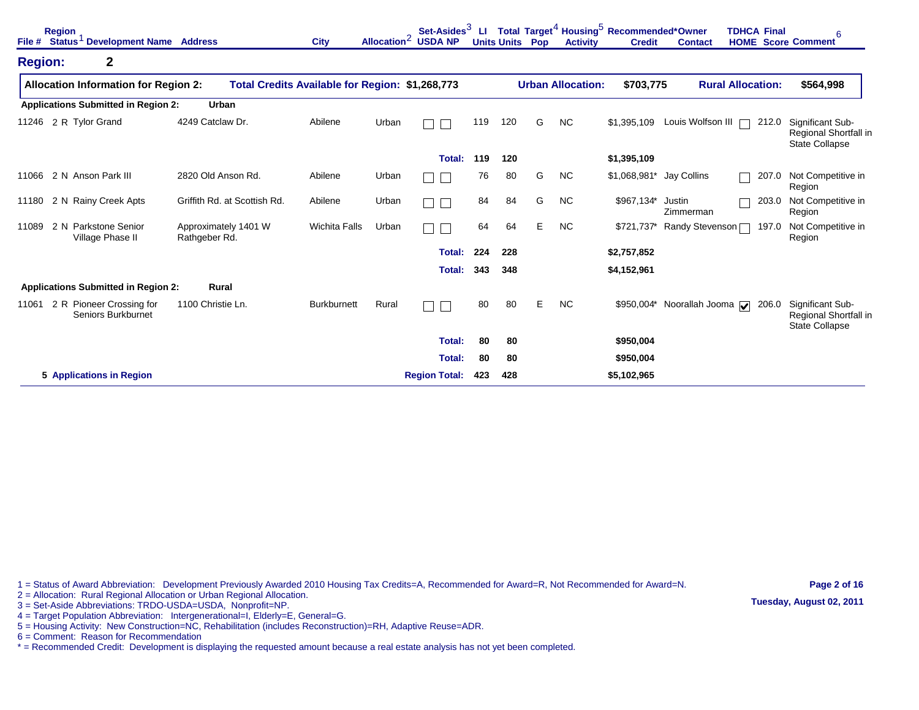| File #         | <b>Region</b><br>Status <sup>1</sup> Development Name Address |                                                 | <b>City</b>          | Allocation <sup>2</sup> | Set-Asides $3$<br><b>USDA NP</b> | ш   | <b>Units Units Pop</b> |   | <b>Activity</b>          | Total Target <sup>4</sup> Housing <sup>5</sup> Recommended*Owner<br><b>Credit</b> | <b>Contact</b>                       | <b>TDHCA Final</b>       | 6<br><b>HOME</b> Score Comment                                     |
|----------------|---------------------------------------------------------------|-------------------------------------------------|----------------------|-------------------------|----------------------------------|-----|------------------------|---|--------------------------|-----------------------------------------------------------------------------------|--------------------------------------|--------------------------|--------------------------------------------------------------------|
| <b>Region:</b> | $\mathbf 2$                                                   |                                                 |                      |                         |                                  |     |                        |   |                          |                                                                                   |                                      |                          |                                                                    |
|                | <b>Allocation Information for Region 2:</b>                   | Total Credits Available for Region: \$1,268,773 |                      |                         |                                  |     |                        |   | <b>Urban Allocation:</b> | \$703,775                                                                         |                                      | <b>Rural Allocation:</b> | \$564,998                                                          |
|                | <b>Applications Submitted in Region 2:</b>                    | Urban                                           |                      |                         |                                  |     |                        |   |                          |                                                                                   |                                      |                          |                                                                    |
| 11246          | 2 R Tylor Grand                                               | 4249 Catclaw Dr.                                | Abilene              | Urban                   |                                  | 119 | 120                    | G | <b>NC</b>                | \$1,395,109                                                                       | Louis Wolfson III                    | 212.0                    | Significant Sub-<br>Regional Shortfall in<br><b>State Collapse</b> |
|                |                                                               |                                                 |                      |                         | Total:                           | 119 | 120                    |   |                          | \$1,395,109                                                                       |                                      |                          |                                                                    |
| 11066          | 2 N Anson Park III                                            | 2820 Old Anson Rd.                              | Abilene              | Urban                   |                                  | 76  | 80                     | G | <b>NC</b>                | \$1,068,981*                                                                      | Jay Collins                          | 207.0                    | Not Competitive in<br>Region                                       |
| 11180          | 2 N Rainy Creek Apts                                          | Griffith Rd. at Scottish Rd.                    | Abilene              | Urban                   |                                  | 84  | 84                     | G | <b>NC</b>                | \$967,134*                                                                        | Justin<br>Zimmerman                  | 203.0                    | Not Competitive in<br>Region                                       |
| 11089          | 2 N Parkstone Senior<br>Village Phase II                      | Approximately 1401 W<br>Rathgeber Rd.           | <b>Wichita Falls</b> | Urban                   |                                  | 64  | 64                     | E | <b>NC</b>                | \$721,737*                                                                        | Randy Stevenson                      | 197.0                    | Not Competitive in<br>Region                                       |
|                |                                                               |                                                 |                      |                         | Total:                           | 224 | 228                    |   |                          | \$2,757,852                                                                       |                                      |                          |                                                                    |
|                |                                                               |                                                 |                      |                         | Total:                           | 343 | 348                    |   |                          | \$4,152,961                                                                       |                                      |                          |                                                                    |
|                | <b>Applications Submitted in Region 2:</b>                    | Rural                                           |                      |                         |                                  |     |                        |   |                          |                                                                                   |                                      |                          |                                                                    |
| 11061          | 2 R Pioneer Crossing for<br>Seniors Burkburnet                | 1100 Christie Ln.                               | <b>Burkburnett</b>   | Rural                   |                                  | 80  | 80                     | E | <b>NC</b>                | \$950,004*                                                                        | Noorallah Jooma $\sqrt{\phantom{a}}$ | 206.0                    | Significant Sub-<br>Regional Shortfall in<br><b>State Collapse</b> |
|                |                                                               |                                                 |                      |                         | Total:                           | 80  | 80                     |   |                          | \$950,004                                                                         |                                      |                          |                                                                    |
|                |                                                               |                                                 |                      |                         | Total:                           | 80  | 80                     |   |                          | \$950,004                                                                         |                                      |                          |                                                                    |
|                | 5 Applications in Region                                      |                                                 |                      |                         | <b>Region Total:</b>             | 423 | 428                    |   |                          | \$5,102,965                                                                       |                                      |                          |                                                                    |

1 = Status of Award Abbreviation: Development Previously Awarded 2010 Housing Tax Credits=A, Recommended for Award=R, Not Recommended for Award=N. 2 = Allocation: Rural Regional Allocation or Urban Regional Allocation.

**Page 2 of 16 Tuesday, August 02, 2011**

- 3 = Set-Aside Abbreviations: TRDO-USDA=USDA, Nonprofit=NP.
- 4 = Target Population Abbreviation: Intergenerational=I, Elderly=E, General=G.
- 5 = Housing Activity: New Construction=NC, Rehabilitation (includes Reconstruction)=RH, Adaptive Reuse=ADR.
- 6 = Comment: Reason for Recommendation
- \* = Recommended Credit: Development is displaying the requested amount because a real estate analysis has not yet been completed.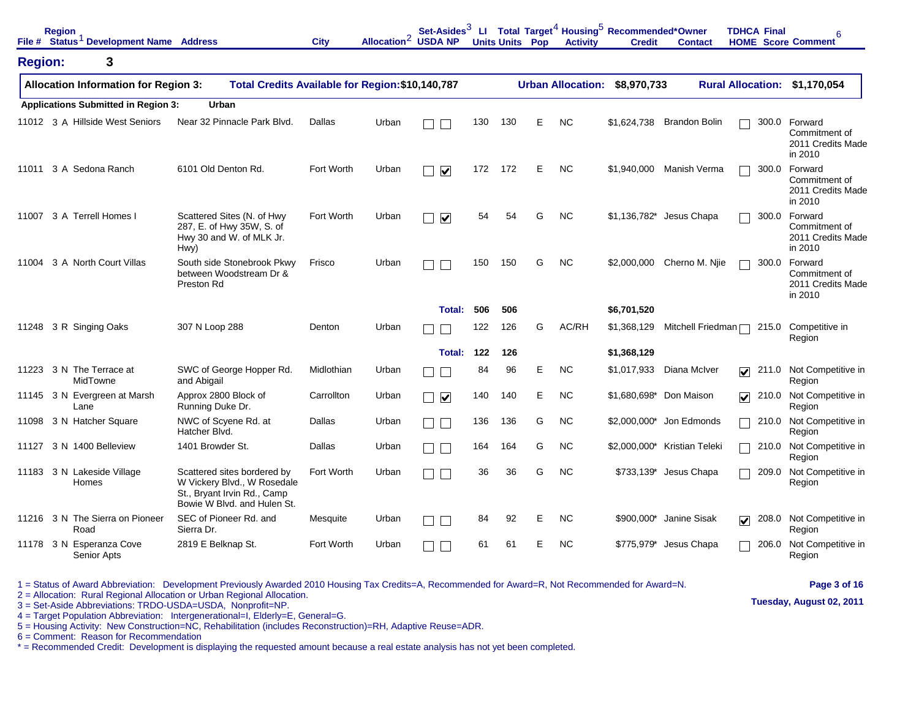|                | <b>Region</b> | File # Status <sup>1</sup> Development Name Address |                                                                                                                          | <b>City</b> | Allocation <sup>2</sup> USDA NP | Set-Asides $3$          |     |     | <b>Units Units Pop</b> | <b>Activity</b>          | LI Total Target <sup>4</sup> Housing <sup>5</sup> Recommended*Owner<br><b>Credit</b> | <b>Contact</b>               | <b>TDHCA Final</b>                       | 6<br><b>HOME</b> Score Comment                           |
|----------------|---------------|-----------------------------------------------------|--------------------------------------------------------------------------------------------------------------------------|-------------|---------------------------------|-------------------------|-----|-----|------------------------|--------------------------|--------------------------------------------------------------------------------------|------------------------------|------------------------------------------|----------------------------------------------------------|
| <b>Region:</b> |               | 3                                                   |                                                                                                                          |             |                                 |                         |     |     |                        |                          |                                                                                      |                              |                                          |                                                          |
|                |               | <b>Allocation Information for Region 3:</b>         | Total Credits Available for Region: \$10,140,787                                                                         |             |                                 |                         |     |     |                        | <b>Urban Allocation:</b> | \$8,970,733                                                                          |                              | <b>Rural Allocation:</b>                 | \$1,170,054                                              |
|                |               | <b>Applications Submitted in Region 3:</b>          | <b>Urban</b>                                                                                                             |             |                                 |                         |     |     |                        |                          |                                                                                      |                              |                                          |                                                          |
|                |               | 11012 3 A Hillside West Seniors                     | Near 32 Pinnacle Park Blvd.                                                                                              | Dallas      | Urban                           |                         | 130 | 130 | Е                      | <b>NC</b>                | \$1,624,738                                                                          | <b>Brandon Bolin</b>         | 300.0                                    | Forward<br>Commitment of<br>2011 Credits Made<br>in 2010 |
| 11011          |               | 3 A Sedona Ranch                                    | 6101 Old Denton Rd.                                                                                                      | Fort Worth  | Urban                           | $\overline{\mathbf{v}}$ | 172 | 172 | E                      | <b>NC</b>                | \$1,940,000                                                                          | Manish Verma                 | 300.0                                    | Forward<br>Commitment of<br>2011 Credits Made<br>in 2010 |
| 11007          |               | 3 A Terrell Homes I                                 | Scattered Sites (N. of Hwy<br>287, E. of Hwy 35W, S. of<br>Hwy 30 and W. of MLK Jr.<br>Hwy)                              | Fort Worth  | Urban                           | $\overline{\mathbf{v}}$ | 54  | 54  | G                      | <b>NC</b>                |                                                                                      | \$1,136,782* Jesus Chapa     | 300.0                                    | Forward<br>Commitment of<br>2011 Credits Made<br>in 2010 |
| 11004          |               | 3 A North Court Villas                              | South side Stonebrook Pkwy<br>between Woodstream Dr &<br>Preston Rd                                                      | Frisco      | Urban                           |                         | 150 | 150 | G                      | <b>NC</b>                | \$2,000,000                                                                          | Cherno M. Njie               | 300.0                                    | Forward<br>Commitment of<br>2011 Credits Made<br>in 2010 |
|                |               |                                                     |                                                                                                                          |             |                                 | Total:                  | 506 | 506 |                        |                          | \$6,701,520                                                                          |                              |                                          |                                                          |
| 11248          |               | 3 R Singing Oaks                                    | 307 N Loop 288                                                                                                           | Denton      | Urban                           |                         | 122 | 126 | G                      | AC/RH                    | \$1,368,129                                                                          | Mitchell Friedman $\Box$     | 215.0                                    | Competitive in<br>Region                                 |
|                |               |                                                     |                                                                                                                          |             |                                 | Total:                  | 122 | 126 |                        |                          | \$1,368,129                                                                          |                              |                                          |                                                          |
| 11223          |               | 3 N The Terrace at<br>MidTowne                      | SWC of George Hopper Rd.<br>and Abigail                                                                                  | Midlothian  | Urban                           |                         | 84  | 96  | Е                      | <b>NC</b>                | \$1,017,933                                                                          | Diana McIver                 | $\overline{\mathbf{v}}$<br>211.0         | Not Competitive in<br>Region                             |
|                | Lane          | 11145 3 N Evergreen at Marsh                        | Approx 2800 Block of<br>Running Duke Dr.                                                                                 | Carrollton  | Urban                           | $\overline{\mathbf{v}}$ | 140 | 140 | Е                      | <b>NC</b>                |                                                                                      | \$1.680.698* Don Maison      | 210.0<br>$\overline{\blacktriangledown}$ | Not Competitive in<br>Region                             |
| 11098          |               | 3 N Hatcher Square                                  | NWC of Scyene Rd. at<br>Hatcher Blvd.                                                                                    | Dallas      | Urban                           |                         | 136 | 136 | G                      | <b>NC</b>                |                                                                                      | \$2,000,000* Jon Edmonds     | 210.0                                    | Not Competitive in<br>Region                             |
| 11127          |               | 3 N 1400 Belleview                                  | 1401 Browder St.                                                                                                         | Dallas      | Urban                           |                         | 164 | 164 | G                      | <b>NC</b>                |                                                                                      | \$2,000,000* Kristian Teleki | 210.0                                    | Not Competitive in<br>Region                             |
|                |               | 11183 3 N Lakeside Village<br>Homes                 | Scattered sites bordered by<br>W Vickery Blvd., W Rosedale<br>St., Bryant Irvin Rd., Camp<br>Bowie W Blvd. and Hulen St. | Fort Worth  | Urban                           |                         | 36  | 36  | G                      | <b>NC</b>                |                                                                                      | \$733,139* Jesus Chapa       | 209.0                                    | Not Competitive in<br>Region                             |
|                | Road          | 11216 3 N The Sierra on Pioneer                     | SEC of Pioneer Rd. and<br>Sierra Dr.                                                                                     | Mesquite    | Urban                           |                         | 84  | 92  | Е                      | <b>NC</b>                |                                                                                      | \$900,000* Janine Sisak      | 208.0<br>☑                               | Not Competitive in<br>Region                             |
|                |               | 11178 3 N Esperanza Cove<br>Senior Apts             | 2819 E Belknap St.                                                                                                       | Fort Worth  | Urban                           |                         | 61  | 61  | E                      | <b>NC</b>                |                                                                                      | \$775,979* Jesus Chapa       | 206.0                                    | Not Competitive in<br>Region                             |

2 = Allocation: Rural Regional Allocation or Urban Regional Allocation.

3 = Set-Aside Abbreviations: TRDO-USDA=USDA, Nonprofit=NP.

4 = Target Population Abbreviation: Intergenerational=I, Elderly=E, General=G.

5 = Housing Activity: New Construction=NC, Rehabilitation (includes Reconstruction)=RH, Adaptive Reuse=ADR.

6 = Comment: Reason for Recommendation

\* = Recommended Credit: Development is displaying the requested amount because a real estate analysis has not yet been completed.

**Page 3 of 16**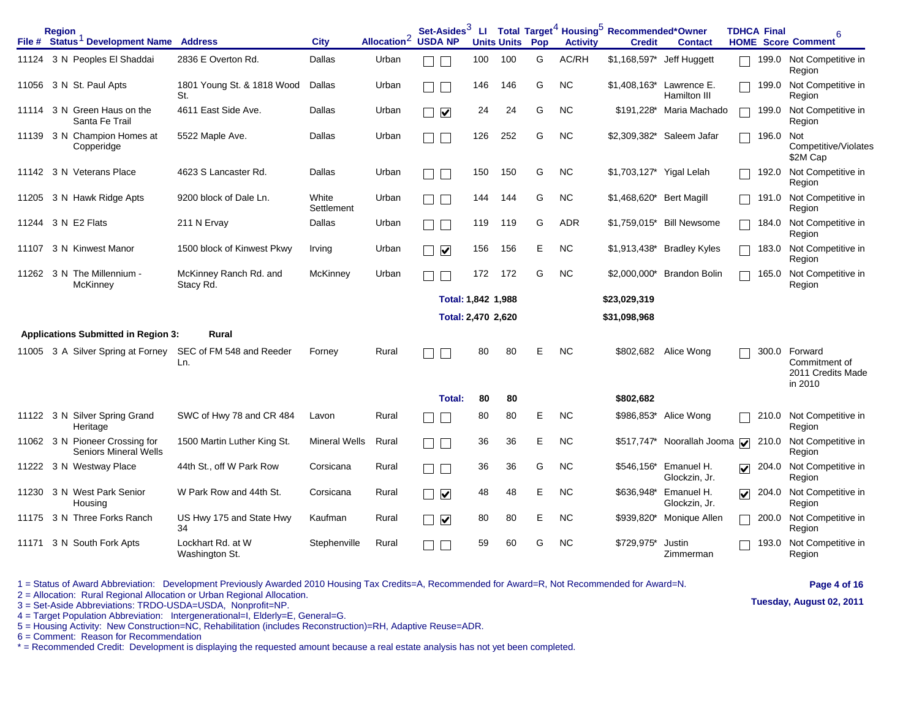|       | <b>Region</b><br>File # Status <sup>1</sup> Development Name Address |                                     | <b>City</b>          | Allocation <sup>2</sup> | Set-Asides $^3$<br><b>USDA NP</b>      |     | <b>Units Units</b> | Pop | <b>Activity</b> | LI Total Target <sup>4</sup> Housing <sup>5</sup> Recommended*Owner<br><b>Credit</b> | <b>Contact</b>                           |                         | <b>TDHCA Final</b> | 6<br><b>HOME</b> Score Comment                                 |
|-------|----------------------------------------------------------------------|-------------------------------------|----------------------|-------------------------|----------------------------------------|-----|--------------------|-----|-----------------|--------------------------------------------------------------------------------------|------------------------------------------|-------------------------|--------------------|----------------------------------------------------------------|
|       | 11124 3 N Peoples El Shaddai                                         | 2836 E Overton Rd.                  | Dallas               | Urban                   |                                        | 100 | 100                | G   | AC/RH           |                                                                                      | \$1,168,597* Jeff Huggett                |                         |                    | 199.0 Not Competitive in<br>Region                             |
| 11056 | 3 N St. Paul Apts                                                    | 1801 Young St. & 1818 Wood<br>St.   | Dallas               | Urban                   |                                        | 146 | 146                | G   | <b>NC</b>       |                                                                                      | \$1,408,163* Lawrence E.<br>Hamilton III |                         | 199.0              | Not Competitive in<br>Region                                   |
| 11114 | 3 N Green Haus on the<br>Santa Fe Trail                              | 4611 East Side Ave.                 | Dallas               | Urban                   | $\blacktriangledown$<br>$\blacksquare$ | 24  | 24                 | G   | <b>NC</b>       | \$191.228*                                                                           | Maria Machado                            |                         | 199.0              | Not Competitive in<br>Region                                   |
|       | 11139 3 N Champion Homes at<br>Copperidge                            | 5522 Maple Ave.                     | Dallas               | Urban                   |                                        | 126 | 252                | G   | <b>NC</b>       |                                                                                      | \$2,309,382* Saleem Jafar                |                         | 196.0              | Not<br>Competitive/Violates<br>\$2M Cap                        |
|       | 11142 3 N Veterans Place                                             | 4623 S Lancaster Rd.                | Dallas               | Urban                   |                                        | 150 | 150                | G   | <b>NC</b>       | \$1,703,127* Yigal Lelah                                                             |                                          |                         | 192.0              | Not Competitive in<br>Region                                   |
| 11205 | 3 N Hawk Ridge Apts                                                  | 9200 block of Dale Ln.              | White<br>Settlement  | Urban                   |                                        | 144 | 144                | G   | <b>NC</b>       | \$1,468,620*                                                                         | <b>Bert Magill</b>                       |                         | 191.0              | Not Competitive in<br>Region                                   |
| 11244 | 3 N E2 Flats                                                         | 211 N Ervay                         | Dallas               | Urban                   |                                        | 119 | 119                | G   | <b>ADR</b>      | \$1,759,015*                                                                         | <b>Bill Newsome</b>                      |                         | 184.0              | Not Competitive in<br>Region                                   |
| 11107 | 3 N Kinwest Manor                                                    | 1500 block of Kinwest Pkwy          | Irving               | Urban                   | $\overline{\mathbf{v}}$                | 156 | 156                | E   | <b>NC</b>       | \$1,913,438*                                                                         | <b>Bradley Kyles</b>                     |                         | 183.0              | Not Competitive in<br>Region                                   |
|       | 11262 3 N The Millennium -<br>McKinney                               | McKinney Ranch Rd. and<br>Stacy Rd. | McKinney             | Urban                   |                                        | 172 | 172                | G   | <b>NC</b>       |                                                                                      | \$2,000,000* Brandon Bolin               |                         | 165.0              | Not Competitive in<br>Region                                   |
|       |                                                                      |                                     |                      |                         |                                        |     |                    |     |                 |                                                                                      |                                          |                         |                    |                                                                |
|       |                                                                      |                                     |                      |                         | Total: 1,842 1,988                     |     |                    |     |                 | \$23,029,319                                                                         |                                          |                         |                    |                                                                |
|       |                                                                      |                                     |                      |                         | Total: 2,470 2,620                     |     |                    |     |                 | \$31,098,968                                                                         |                                          |                         |                    |                                                                |
|       | <b>Applications Submitted in Region 3:</b>                           | Rural                               |                      |                         |                                        |     |                    |     |                 |                                                                                      |                                          |                         |                    |                                                                |
| 11005 | 3 A Silver Spring at Forney                                          | SEC of FM 548 and Reeder<br>Ln.     | Forney               | Rural                   |                                        | 80  | 80                 | E   | <b>NC</b>       | \$802,682                                                                            | Alice Wong                               |                         |                    | 300.0 Forward<br>Commitment of<br>2011 Credits Made<br>in 2010 |
|       |                                                                      |                                     |                      |                         | Total:                                 | 80  | 80                 |     |                 | \$802,682                                                                            |                                          |                         |                    |                                                                |
|       | 11122 3 N Silver Spring Grand<br>Heritage                            | SWC of Hwy 78 and CR 484            | Lavon                | Rural                   |                                        | 80  | 80                 | E   | <b>NC</b>       |                                                                                      | \$986,853* Alice Wong                    |                         | 210.0              | Not Competitive in<br>Region                                   |
|       | 11062 3 N Pioneer Crossing for<br><b>Seniors Mineral Wells</b>       | 1500 Martin Luther King St.         | <b>Mineral Wells</b> | Rural                   | $\blacksquare$                         | 36  | 36                 | E   | <b>NC</b>       | $$517,747$ *                                                                         | Noorallah Jooma                          | $\overline{\mathbf{v}}$ | 210.0              | Not Competitive in<br>Region                                   |
|       | 11222 3 N Westway Place                                              | 44th St., off W Park Row            | Corsicana            | Rural                   |                                        | 36  | 36                 | G   | NC.             | \$546,156*                                                                           | Emanuel H.<br>Glockzin, Jr.              | $\overline{\mathbf{v}}$ | 204.0              | Not Competitive in<br>Region                                   |
| 11230 | 3 N West Park Senior<br>Housing                                      | W Park Row and 44th St.             | Corsicana            | Rural                   | $\overline{\mathbf{v}}$                | 48  | 48                 | E   | <b>NC</b>       | \$636,948*                                                                           | Emanuel H.<br>Glockzin, Jr.              | $\overline{\mathbf{v}}$ | 204.0              | Not Competitive in<br>Region                                   |
|       | 11175 3 N Three Forks Ranch                                          | US Hwy 175 and State Hwy<br>34      | Kaufman              | Rural                   | $\overline{\mathbf{v}}$                | 80  | 80                 | E   | <b>NC</b>       | \$939,820*                                                                           | Monique Allen                            |                         | 200.0              | Not Competitive in<br>Region                                   |

2 = Allocation: Rural Regional Allocation or Urban Regional Allocation.

3 = Set-Aside Abbreviations: TRDO-USDA=USDA, Nonprofit=NP.

4 = Target Population Abbreviation: Intergenerational=I, Elderly=E, General=G.

5 = Housing Activity: New Construction=NC, Rehabilitation (includes Reconstruction)=RH, Adaptive Reuse=ADR.

6 = Comment: Reason for Recommendation

\* = Recommended Credit: Development is displaying the requested amount because a real estate analysis has not yet been completed.

## **Page 4 of 16**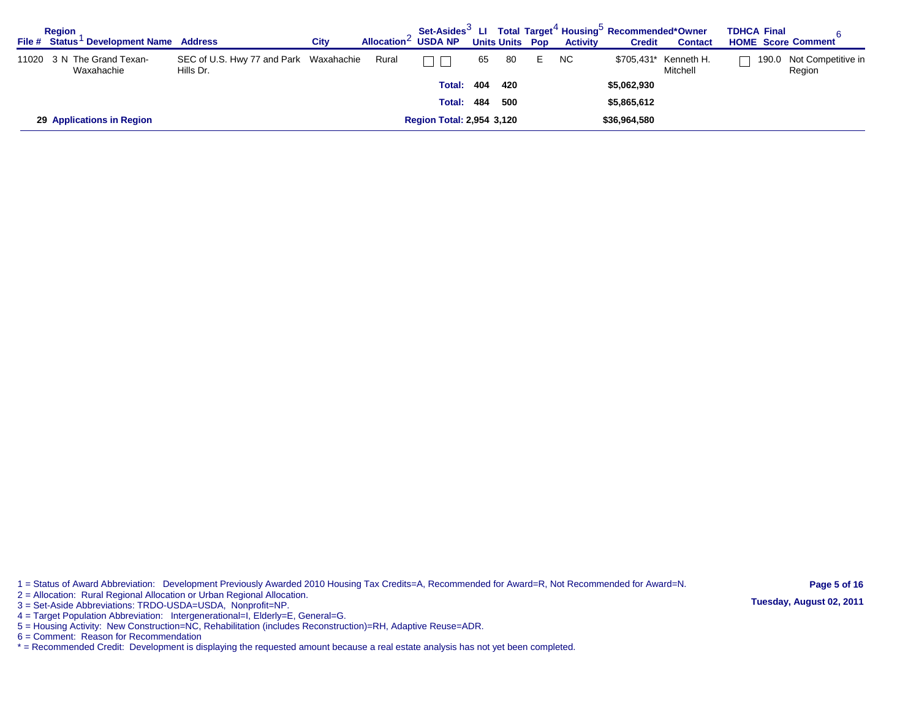| <b>Region</b><br>File # Status Development Name Address |                                                     | City | Allocation $\leq$ USDA NP |                                  |     |      | <b>Units Units Pop</b> | <b>Activity</b> | Set-Asides <sup>3</sup> LI Total Target <sup>4</sup> Housing <sup>5</sup> Recommended*Owner<br><b>Credit</b> | <b>Contact</b>                    | <b>TDHCA Final</b><br><b>HOME Score Comment</b> |                              |
|---------------------------------------------------------|-----------------------------------------------------|------|---------------------------|----------------------------------|-----|------|------------------------|-----------------|--------------------------------------------------------------------------------------------------------------|-----------------------------------|-------------------------------------------------|------------------------------|
| 11020 3 N The Grand Texan-<br>Waxahachie                | SEC of U.S. Hwy 77 and Park Waxahachie<br>Hills Dr. |      | Rural                     |                                  | 65  | - 80 | E.                     | <b>NC</b>       |                                                                                                              | \$705,431* Kenneth H.<br>Mitchell | 190.0                                           | Not Competitive in<br>Region |
|                                                         |                                                     |      |                           | <b>Total:</b>                    | 404 | 420  |                        |                 | \$5,062,930                                                                                                  |                                   |                                                 |                              |
|                                                         |                                                     |      |                           | <b>Total:</b>                    | 484 | 500  |                        |                 | \$5,865,612                                                                                                  |                                   |                                                 |                              |
| 29 Applications in Region                               |                                                     |      |                           | <b>Region Total: 2,954 3,120</b> |     |      |                        |                 | \$36,964,580                                                                                                 |                                   |                                                 |                              |

2 = Allocation: Rural Regional Allocation or Urban Regional Allocation.

3 = Set-Aside Abbreviations: TRDO-USDA=USDA, Nonprofit=NP.

4 = Target Population Abbreviation: Intergenerational=I, Elderly=E, General=G.

5 = Housing Activity: New Construction=NC, Rehabilitation (includes Reconstruction)=RH, Adaptive Reuse=ADR.

6 = Comment: Reason for Recommendation

\* = Recommended Credit: Development is displaying the requested amount because a real estate analysis has not yet been completed.

**Page 5 of 16 Tuesday, August 02, 2011**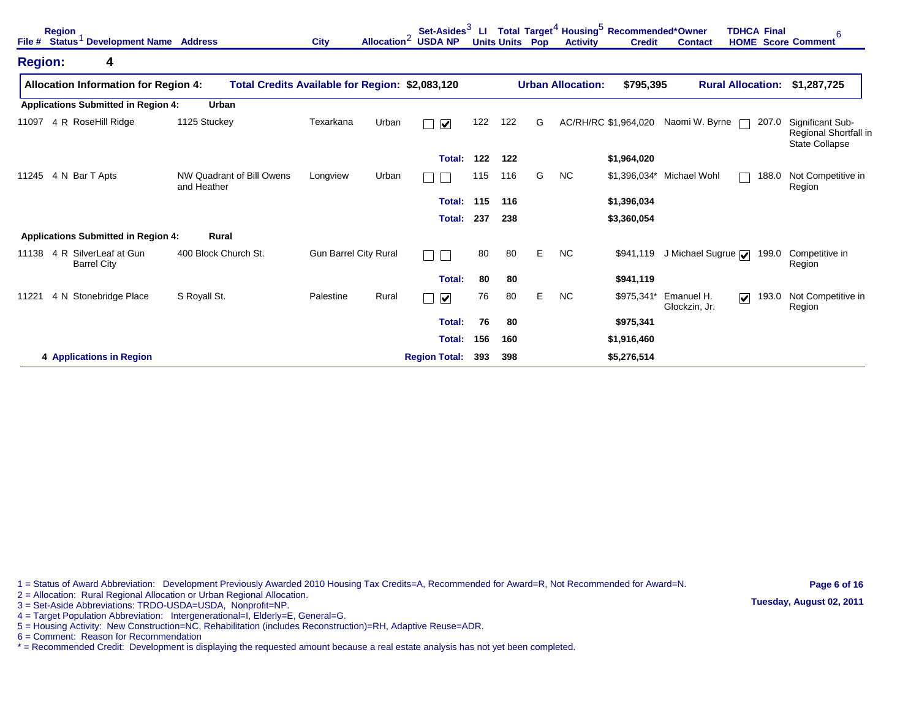| File #         | <b>Region</b><br>Status <sup>1</sup> Development Name Address |                                          | <b>City</b>                                     | Allocation <sup>2</sup> | Set-Asides <sup>3</sup><br><b>USDA NP</b> | LI. |     | <b>Units Units Pop</b> | <b>Activity</b>          | Total Target <sup>4</sup> Housing <sup>5</sup> Recommended*Owner<br><b>Credit</b> | <b>Contact</b>                           | <b>TDHCA Final</b>               | 6<br><b>HOME</b> Score Comment                              |
|----------------|---------------------------------------------------------------|------------------------------------------|-------------------------------------------------|-------------------------|-------------------------------------------|-----|-----|------------------------|--------------------------|-----------------------------------------------------------------------------------|------------------------------------------|----------------------------------|-------------------------------------------------------------|
| <b>Region:</b> | 4                                                             |                                          |                                                 |                         |                                           |     |     |                        |                          |                                                                                   |                                          |                                  |                                                             |
|                | <b>Allocation Information for Region 4:</b>                   |                                          | Total Credits Available for Region: \$2,083,120 |                         |                                           |     |     |                        | <b>Urban Allocation:</b> | \$795,395                                                                         |                                          | <b>Rural Allocation:</b>         | \$1,287,725                                                 |
|                | <b>Applications Submitted in Region 4:</b>                    | Urban                                    |                                                 |                         |                                           |     |     |                        |                          |                                                                                   |                                          |                                  |                                                             |
| 11097          | 4 R RoseHill Ridge                                            | 1125 Stuckey                             | Texarkana                                       | Urban                   | $\overline{\mathbf{v}}$                   | 122 | 122 | G                      |                          | AC/RH/RC \$1,964,020                                                              | Naomi W. Byrne                           | 207.0                            | Significant Sub-<br>Regional Shortfall in<br>State Collapse |
|                |                                                               |                                          |                                                 |                         | Total:                                    | 122 | 122 |                        |                          | \$1,964,020                                                                       |                                          |                                  |                                                             |
| 11245          | 4 N Bar T Apts                                                | NW Quadrant of Bill Owens<br>and Heather | Longview                                        | Urban                   |                                           | 115 | 116 | G                      | <b>NC</b>                | \$1,396,034*                                                                      | Michael Wohl                             | 188.0                            | Not Competitive in<br>Region                                |
|                |                                                               |                                          |                                                 |                         | Total:                                    | 115 | 116 |                        |                          | \$1,396,034                                                                       |                                          |                                  |                                                             |
|                |                                                               |                                          |                                                 |                         | <b>Total:</b>                             | 237 | 238 |                        |                          | \$3,360,054                                                                       |                                          |                                  |                                                             |
|                | <b>Applications Submitted in Region 4:</b>                    | Rural                                    |                                                 |                         |                                           |     |     |                        |                          |                                                                                   |                                          |                                  |                                                             |
| 11138          | 4 R SilverLeaf at Gun<br><b>Barrel City</b>                   | 400 Block Church St.                     | <b>Gun Barrel City Rural</b>                    |                         |                                           | 80  | 80  | Е                      | <b>NC</b>                | \$941,119                                                                         | J Michael Sugrue $\overline{\mathbf{v}}$ | 199.0                            | Competitive in<br>Region                                    |
|                |                                                               |                                          |                                                 |                         | Total:                                    | 80  | 80  |                        |                          | \$941,119                                                                         |                                          |                                  |                                                             |
| 11221          | 4 N Stonebridge Place                                         | S Royall St.                             | Palestine                                       | Rural                   | $\blacktriangledown$                      | 76  | 80  | Е                      | <b>NC</b>                | \$975,341*                                                                        | Emanuel H.<br>Glockzin, Jr.              | 193.0<br>$\overline{\mathbf{v}}$ | Not Competitive in<br>Region                                |
|                |                                                               |                                          |                                                 |                         | Total:                                    | 76  | 80  |                        |                          | \$975,341                                                                         |                                          |                                  |                                                             |
|                |                                                               |                                          |                                                 |                         | Total:                                    | 156 | 160 |                        |                          | \$1,916,460                                                                       |                                          |                                  |                                                             |
|                | 4 Applications in Region                                      |                                          |                                                 |                         | <b>Region Total:</b>                      | 393 | 398 |                        |                          | \$5,276,514                                                                       |                                          |                                  |                                                             |

2 = Allocation: Rural Regional Allocation or Urban Regional Allocation.

3 = Set-Aside Abbreviations: TRDO-USDA=USDA, Nonprofit=NP.

4 = Target Population Abbreviation: Intergenerational=I, Elderly=E, General=G.

5 = Housing Activity: New Construction=NC, Rehabilitation (includes Reconstruction)=RH, Adaptive Reuse=ADR.

6 = Comment: Reason for Recommendation

\* = Recommended Credit: Development is displaying the requested amount because a real estate analysis has not yet been completed.

**Page 6 of 16 Tuesday, August 02, 2011**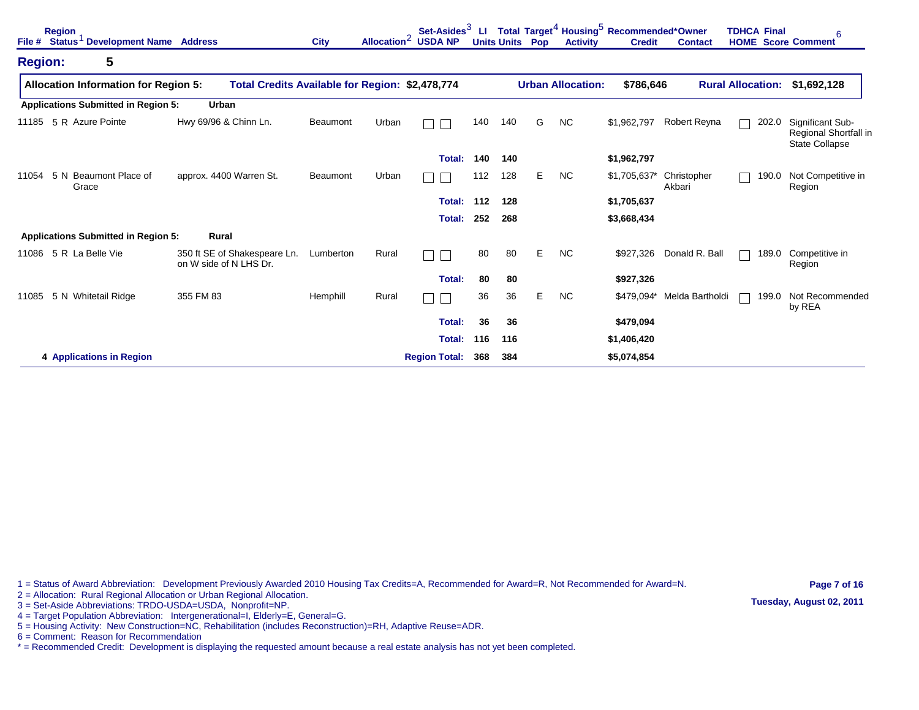| File #         | <b>Region</b><br>Status <sup>1</sup> Development Name Address |                                                        | <b>City</b>                                     | Allocation <sup>2</sup> | Set-Asides <sup>3</sup><br><b>USDA NP</b> | ш   |     | <b>Units Units Pop</b> | <b>Activity</b>          | Total Target <sup>4</sup> Housing <sup>5</sup> Recommended*Owner<br><b>Credit</b> | <b>Contact</b>        | <b>TDHCA Final</b><br><b>HOME</b> Score Comment | 6                                                                  |
|----------------|---------------------------------------------------------------|--------------------------------------------------------|-------------------------------------------------|-------------------------|-------------------------------------------|-----|-----|------------------------|--------------------------|-----------------------------------------------------------------------------------|-----------------------|-------------------------------------------------|--------------------------------------------------------------------|
| <b>Region:</b> | 5                                                             |                                                        |                                                 |                         |                                           |     |     |                        |                          |                                                                                   |                       |                                                 |                                                                    |
|                | <b>Allocation Information for Region 5:</b>                   |                                                        | Total Credits Available for Region: \$2,478,774 |                         |                                           |     |     |                        | <b>Urban Allocation:</b> | \$786,646                                                                         |                       | <b>Rural Allocation:</b>                        | \$1,692,128                                                        |
|                | <b>Applications Submitted in Region 5:</b>                    | Urban                                                  |                                                 |                         |                                           |     |     |                        |                          |                                                                                   |                       |                                                 |                                                                    |
| 11185          | 5 R Azure Pointe                                              | Hwy 69/96 & Chinn Ln.                                  | Beaumont                                        | Urban                   |                                           | 140 | 140 | G                      | <b>NC</b>                | \$1,962,797                                                                       | Robert Reyna          | 202.0<br>П                                      | Significant Sub-<br>Regional Shortfall in<br><b>State Collapse</b> |
|                |                                                               |                                                        |                                                 |                         | Total:                                    | 140 | 140 |                        |                          | \$1,962,797                                                                       |                       |                                                 |                                                                    |
| 11054          | 5 N Beaumont Place of<br>Grace                                | approx. 4400 Warren St.                                | Beaumont                                        | Urban                   |                                           | 112 | 128 | Е                      | <b>NC</b>                | \$1,705,637*                                                                      | Christopher<br>Akbari | 190.0                                           | Not Competitive in<br>Region                                       |
|                |                                                               |                                                        |                                                 |                         | Total:                                    | 112 | 128 |                        |                          | \$1,705,637                                                                       |                       |                                                 |                                                                    |
|                |                                                               |                                                        |                                                 |                         | Total:                                    | 252 | 268 |                        |                          | \$3,668,434                                                                       |                       |                                                 |                                                                    |
|                | <b>Applications Submitted in Region 5:</b>                    | Rural                                                  |                                                 |                         |                                           |     |     |                        |                          |                                                                                   |                       |                                                 |                                                                    |
| 11086          | 5 R La Belle Vie                                              | 350 ft SE of Shakespeare Ln.<br>on W side of N LHS Dr. | Lumberton                                       | Rural                   |                                           | 80  | 80  | Е                      | NC.                      | \$927,326                                                                         | Donald R. Ball        | 189.0                                           | Competitive in<br>Region                                           |
|                |                                                               |                                                        |                                                 |                         | Total:                                    | 80  | 80  |                        |                          | \$927,326                                                                         |                       |                                                 |                                                                    |
| 11085          | 5 N Whitetail Ridge                                           | 355 FM 83                                              | Hemphill                                        | Rural                   |                                           | 36  | 36  | Е                      | <b>NC</b>                | \$479,094*                                                                        | Melda Bartholdi       | 199.0                                           | Not Recommended<br>by REA                                          |
|                |                                                               |                                                        |                                                 |                         | Total:                                    | 36  | 36  |                        |                          | \$479,094                                                                         |                       |                                                 |                                                                    |
|                |                                                               |                                                        |                                                 |                         | Total:                                    | 116 | 116 |                        |                          | \$1,406,420                                                                       |                       |                                                 |                                                                    |
|                | 4 Applications in Region                                      |                                                        |                                                 |                         | <b>Region Total:</b>                      | 368 | 384 |                        |                          | \$5,074,854                                                                       |                       |                                                 |                                                                    |

2 = Allocation: Rural Regional Allocation or Urban Regional Allocation.

3 = Set-Aside Abbreviations: TRDO-USDA=USDA, Nonprofit=NP.

4 = Target Population Abbreviation: Intergenerational=I, Elderly=E, General=G.

5 = Housing Activity: New Construction=NC, Rehabilitation (includes Reconstruction)=RH, Adaptive Reuse=ADR.

6 = Comment: Reason for Recommendation

\* = Recommended Credit: Development is displaying the requested amount because a real estate analysis has not yet been completed.

**Page 7 of 16 Tuesday, August 02, 2011**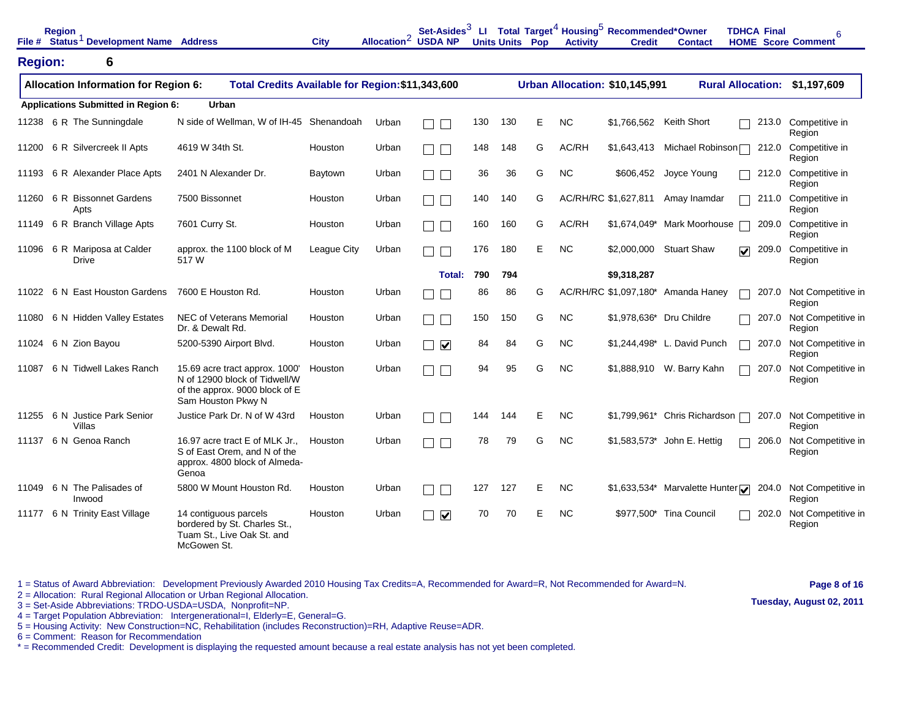|                | <b>Region</b> | File # Status <sup>1</sup> Development Name Address |                                                                                                                         | <b>City</b> | Allocation <sup>2</sup> USDA NP | Set-Asides <sup>3</sup>                 | LL. |     | <b>Units Units Pop</b> | <b>Activity</b> | Total Target <sup>4</sup> Housing <sup>5</sup> Recommended*Owner<br><b>Credit</b> | <b>Contact</b>                     | <b>TDHCA Final</b><br><b>HOME</b> Score Comment | 6                              |
|----------------|---------------|-----------------------------------------------------|-------------------------------------------------------------------------------------------------------------------------|-------------|---------------------------------|-----------------------------------------|-----|-----|------------------------|-----------------|-----------------------------------------------------------------------------------|------------------------------------|-------------------------------------------------|--------------------------------|
| <b>Region:</b> |               | 6                                                   |                                                                                                                         |             |                                 |                                         |     |     |                        |                 |                                                                                   |                                    |                                                 |                                |
|                |               | <b>Allocation Information for Region 6:</b>         | Total Credits Available for Region: \$11,343,600                                                                        |             |                                 |                                         |     |     |                        |                 | Urban Allocation: \$10,145,991                                                    |                                    | <b>Rural Allocation:</b>                        | \$1,197,609                    |
|                |               | <b>Applications Submitted in Region 6:</b>          | <b>Urban</b>                                                                                                            |             |                                 |                                         |     |     |                        |                 |                                                                                   |                                    |                                                 |                                |
|                |               | 11238 6 R The Sunningdale                           | N side of Wellman, W of IH-45 Shenandoah                                                                                |             | Urban                           |                                         | 130 | 130 | Е                      | <b>NC</b>       | \$1,766,562                                                                       | <b>Keith Short</b>                 |                                                 | 213.0 Competitive in<br>Region |
|                |               | 11200 6 R Silvercreek II Apts                       | 4619 W 34th St.                                                                                                         | Houston     | Urban                           |                                         | 148 | 148 | G                      | AC/RH           | \$1,643,413                                                                       | Michael Robinson <sup>[--]</sup>   | 212.0                                           | Competitive in<br>Region       |
|                |               | 11193 6 R Alexander Place Apts                      | 2401 N Alexander Dr.                                                                                                    | Baytown     | Urban                           | П                                       | 36  | 36  | G                      | <b>NC</b>       | \$606,452                                                                         | Joyce Young                        | 212.0                                           | Competitive in<br>Region       |
|                |               | 11260 6 R Bissonnet Gardens<br>Apts                 | 7500 Bissonnet                                                                                                          | Houston     | Urban                           |                                         | 140 | 140 | G                      |                 | AC/RH/RC \$1,627,811                                                              | Amay Inamdar                       | 211.0                                           | Competitive in<br>Region       |
|                |               | 11149 6 R Branch Village Apts                       | 7601 Curry St.                                                                                                          | Houston     | Urban                           | $\mathbf{I}$                            | 160 | 160 | G                      | AC/RH           | \$1,674,049*                                                                      | Mark Moorhouse                     | 209.0                                           | Competitive in<br>Region       |
| 11096          |               | 6 R Mariposa at Calder<br><b>Drive</b>              | approx. the 1100 block of M<br>517W                                                                                     | League City | Urban                           |                                         | 176 | 180 | E                      | <b>NC</b>       | \$2,000,000                                                                       | <b>Stuart Shaw</b>                 | 209.0<br>$\overline{\mathbf{v}}$                | Competitive in<br>Region       |
|                |               |                                                     |                                                                                                                         |             |                                 | Total:                                  | 790 | 794 |                        |                 | \$9,318,287                                                                       |                                    |                                                 |                                |
| 11022          |               | 6 N East Houston Gardens                            | 7600 E Houston Rd.                                                                                                      | Houston     | Urban                           |                                         | 86  | 86  | G                      |                 |                                                                                   | AC/RH/RC \$1,097,180* Amanda Haney | 207.0                                           | Not Competitive in<br>Region   |
| 11080          |               | 6 N Hidden Valley Estates                           | NEC of Veterans Memorial<br>Dr. & Dewalt Rd.                                                                            | Houston     | Urban                           |                                         | 150 | 150 | G                      | <b>NC</b>       | \$1,978,636* Dru Childre                                                          |                                    | 207.0                                           | Not Competitive in<br>Region   |
|                |               | 11024 6 N Zion Bayou                                | 5200-5390 Airport Blvd.                                                                                                 | Houston     | Urban                           | $\overline{\mathbf{v}}$<br>$\mathbf{I}$ | 84  | 84  | G                      | <b>NC</b>       |                                                                                   | \$1,244,498* L. David Punch        | 207.0                                           | Not Competitive in<br>Region   |
| 11087          |               | 6 N Tidwell Lakes Ranch                             | 15.69 acre tract approx. 1000'<br>N of 12900 block of Tidwell/W<br>of the approx. 9000 block of E<br>Sam Houston Pkwy N | Houston     | Urban                           |                                         | 94  | 95  | G                      | <b>NC</b>       |                                                                                   | \$1,888,910 W. Barry Kahn          | 207.0                                           | Not Competitive in<br>Region   |
|                |               | 11255 6 N Justice Park Senior<br>Villas             | Justice Park Dr. N of W 43rd                                                                                            | Houston     | Urban                           |                                         | 144 | 144 | E                      | <b>NC</b>       |                                                                                   | \$1,799,961* Chris Richardson      | 207.0                                           | Not Competitive in<br>Region   |
|                |               | 11137 6 N Genoa Ranch                               | 16.97 acre tract E of MLK Jr.,<br>S of East Orem, and N of the<br>approx. 4800 block of Almeda-<br>Genoa                | Houston     | Urban                           |                                         | 78  | 79  | G                      | <b>NC</b>       |                                                                                   | \$1,583,573* John E. Hettig        | 206.0                                           | Not Competitive in<br>Region   |
|                |               | 11049 6 N The Palisades of<br>Inwood                | 5800 W Mount Houston Rd.                                                                                                | Houston     | Urban                           |                                         | 127 | 127 | Е                      | <b>NC</b>       |                                                                                   | \$1,633,534* Marvalette Hunter     | 204.0                                           | Not Competitive in<br>Region   |
|                |               | 11177 6 N Trinity East Village                      | 14 contiguous parcels<br>bordered by St. Charles St.,<br>Tuam St., Live Oak St. and<br>McGowen St.                      | Houston     | Urban                           | $\overline{\mathbf{v}}$                 | 70  | 70  | Е                      | <b>NC</b>       |                                                                                   | \$977,500* Tina Council            | 202.0                                           | Not Competitive in<br>Region   |

1 = Status of Award Abbreviation: Development Previously Awarded 2010 Housing Tax Credits=A, Recommended for Award=R, Not Recommended for Award=N. 2 = Allocation: Rural Regional Allocation or Urban Regional Allocation.

**Page 8 of 16**

**Tuesday, August 02, 2011**

4 = Target Population Abbreviation: Intergenerational=I, Elderly=E, General=G.

3 = Set-Aside Abbreviations: TRDO-USDA=USDA, Nonprofit=NP.

5 = Housing Activity: New Construction=NC, Rehabilitation (includes Reconstruction)=RH, Adaptive Reuse=ADR.

6 = Comment: Reason for Recommendation

\* = Recommended Credit: Development is displaying the requested amount because a real estate analysis has not yet been completed.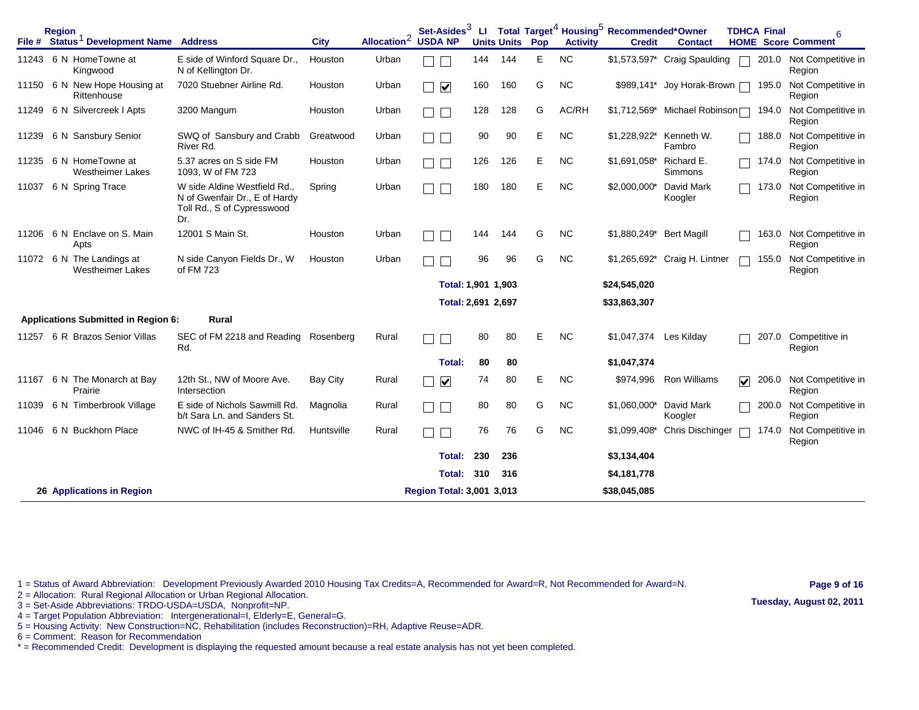|       | <b>Region</b><br>File # Status <sup>1</sup> Development Name Address |                                                                                                  | <b>City</b>     | Allocation <sup>2</sup> | Set-Asides <sup>3</sup><br><b>USDA NP</b> |     | <b>Units Units</b> | Pop | <b>Activity</b> | LI Total Target <sup>4</sup> Housing <sup>5</sup> Recommended*Owner<br><b>Credit</b> | <b>Contact</b>                |   | <b>TDHCA Final</b> | 6<br><b>HOME</b> Score Comment     |
|-------|----------------------------------------------------------------------|--------------------------------------------------------------------------------------------------|-----------------|-------------------------|-------------------------------------------|-----|--------------------|-----|-----------------|--------------------------------------------------------------------------------------|-------------------------------|---|--------------------|------------------------------------|
| 11243 | 6 N HomeTowne at<br>Kingwood                                         | E side of Winford Square Dr.,<br>N of Kellington Dr.                                             | Houston         | Urban                   |                                           | 144 | 144                | Е   | <b>NC</b>       |                                                                                      | \$1,573,597* Craig Spaulding  |   |                    | 201.0 Not Competitive in<br>Region |
|       | 11150 6 N New Hope Housing at<br>Rittenhouse                         | 7020 Stuebner Airline Rd.                                                                        | Houston         | Urban                   | $\blacktriangledown$<br>$\mathbb{R}^n$    | 160 | 160                | G   | <b>NC</b>       |                                                                                      | \$989,141* Joy Horak-Brown    |   | 195.0              | Not Competitive in<br>Region       |
| 11249 | 6 N Silvercreek I Apts                                               | 3200 Mangum                                                                                      | Houston         | Urban                   |                                           | 128 | 128                | G   | AC/RH           |                                                                                      | \$1,712,569* Michael Robinson |   | 194.0              | Not Competitive in<br>Region       |
| 11239 | 6 N Sansbury Senior                                                  | SWQ of Sansbury and Crabb<br>River Rd.                                                           | Greatwood       | Urban                   |                                           | 90  | 90                 | Е   | <b>NC</b>       | \$1,228,922*                                                                         | Kenneth W.<br>Fambro          |   | 188.0              | Not Competitive in<br>Region       |
| 11235 | 6 N HomeTowne at<br><b>Westheimer Lakes</b>                          | 5.37 acres on S side FM<br>1093. W of FM 723                                                     | Houston         | Urban                   |                                           | 126 | 126                | Е   | <b>NC</b>       | \$1.691.058* Richard E.                                                              | Simmons                       |   | 174.0              | Not Competitive in<br>Region       |
| 11037 | 6 N Spring Trace                                                     | W side Aldine Westfield Rd<br>N of Gwenfair Dr., E of Hardy<br>Toll Rd., S of Cypresswood<br>Dr. | Spring          | Urban                   |                                           | 180 | 180                | E   | <b>NC</b>       | \$2,000,000*                                                                         | David Mark<br>Koogler         |   | 173.0              | Not Competitive in<br>Region       |
| 11206 | 6 N Enclave on S. Main<br>Apts                                       | 12001 S Main St.                                                                                 | Houston         | Urban                   |                                           | 144 | 144                | G   | <b>NC</b>       | \$1,880,249*                                                                         | <b>Bert Magill</b>            |   | 163.0              | Not Competitive in<br>Region       |
| 11072 | 6 N The Landings at<br><b>Westheimer Lakes</b>                       | N side Canyon Fields Dr., W<br>of FM 723                                                         | Houston         | Urban                   |                                           | 96  | 96                 | G   | <b>NC</b>       |                                                                                      | \$1,265,692* Craig H. Lintner |   | 155.0              | Not Competitive in<br>Region       |
|       |                                                                      |                                                                                                  |                 |                         | Total: 1,901 1,903                        |     |                    |     |                 | \$24,545,020                                                                         |                               |   |                    |                                    |
|       |                                                                      |                                                                                                  |                 |                         | Total: 2,691 2,697                        |     |                    |     |                 | \$33,863,307                                                                         |                               |   |                    |                                    |
|       | <b>Applications Submitted in Region 6:</b>                           | Rural                                                                                            |                 |                         |                                           |     |                    |     |                 |                                                                                      |                               |   |                    |                                    |
| 11257 | 6 R Brazos Senior Villas                                             | SEC of FM 2218 and Reading Rosenberg<br>Rd.                                                      |                 | Rural                   |                                           | 80  | 80                 | Е   | <b>NC</b>       | \$1,047,374                                                                          | Les Kilday                    |   | 207.0              | Competitive in<br>Region           |
|       |                                                                      |                                                                                                  |                 |                         | <b>Total:</b>                             | 80  | 80                 |     |                 | \$1,047,374                                                                          |                               |   |                    |                                    |
| 11167 | 6 N The Monarch at Bay<br>Prairie                                    | 12th St., NW of Moore Ave.<br>Intersection                                                       | <b>Bay City</b> | Rural                   | $\blacktriangledown$<br>П                 | 74  | 80                 | E   | <b>NC</b>       | \$974,996                                                                            | <b>Ron Williams</b>           | ☑ | 206.0              | Not Competitive in<br>Region       |
| 11039 | 6 N Timberbrook Village                                              | E side of Nichols Sawmill Rd.<br>b/t Sara Ln. and Sanders St.                                    | Magnolia        | Rural                   |                                           | 80  | 80                 | G   | <b>NC</b>       | \$1,060,000*                                                                         | David Mark<br>Koogler         |   | 200.0              | Not Competitive in<br>Region       |
| 11046 | 6 N Buckhorn Place                                                   | NWC of IH-45 & Smither Rd.                                                                       | Huntsville      | Rural                   |                                           | 76  | 76                 | G   | <b>NC</b>       | \$1,099,408*                                                                         | Chris Dischinger              |   | 174.0              | Not Competitive in<br>Region       |
|       |                                                                      |                                                                                                  |                 |                         | <b>Total:</b>                             | 230 | 236                |     |                 | \$3,134,404                                                                          |                               |   |                    |                                    |
|       |                                                                      |                                                                                                  |                 |                         | Total:                                    | 310 | 316                |     |                 | \$4,181,778                                                                          |                               |   |                    |                                    |
|       | 26 Applications in Region                                            |                                                                                                  |                 |                         | Region Total: 3,001 3,013                 |     |                    |     |                 | \$38,045,085                                                                         |                               |   |                    |                                    |

**Page 9 of 16**

2 = Allocation: Rural Regional Allocation or Urban Regional Allocation. 3 = Set-Aside Abbreviations: TRDO-USDA=USDA, Nonprofit=NP.

- 4 = Target Population Abbreviation: Intergenerational=I, Elderly=E, General=G.
- 5 = Housing Activity: New Construction=NC, Rehabilitation (includes Reconstruction)=RH, Adaptive Reuse=ADR.

6 = Comment: Reason for Recommendation

\* = Recommended Credit: Development is displaying the requested amount because a real estate analysis has not yet been completed.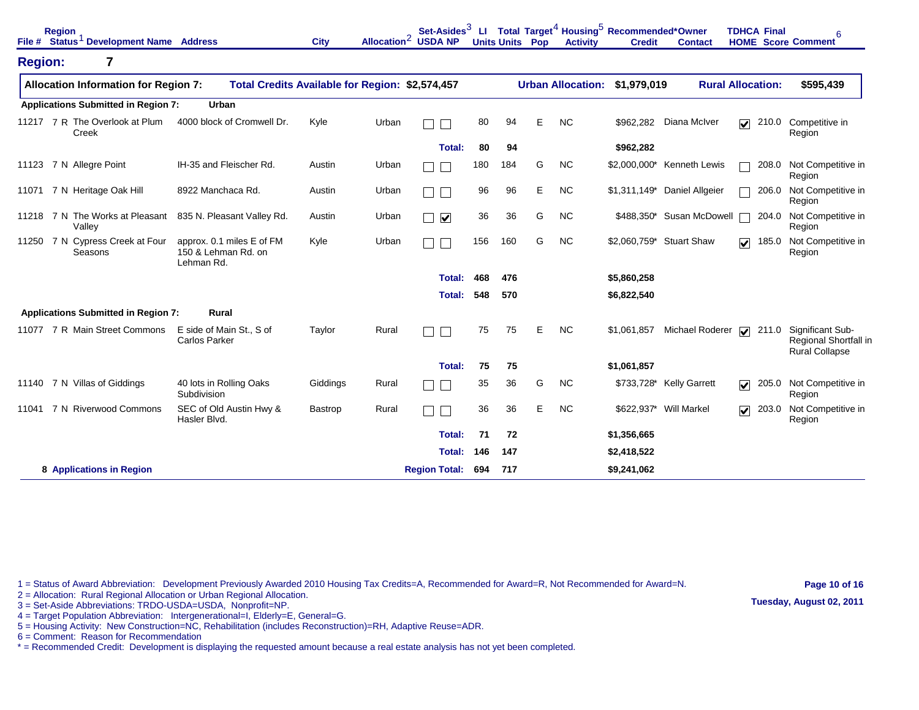|                | <b>Region</b> | File # Status <sup>1</sup> Development Name Address |                                                                | <b>City</b> |       | Set-Asides <sup>3</sup><br>Allocation <sup>2</sup> USDA NP | ш   |     | <b>Units Units Pop</b> | <b>Activity</b> | Total Target <sup>4</sup> Housing <sup>5</sup> Recommended*Owner<br><b>Credit</b> | <b>Contact</b>           | <b>TDHCA Final</b><br><b>HOME</b> Score Comment | 6                                                                  |
|----------------|---------------|-----------------------------------------------------|----------------------------------------------------------------|-------------|-------|------------------------------------------------------------|-----|-----|------------------------|-----------------|-----------------------------------------------------------------------------------|--------------------------|-------------------------------------------------|--------------------------------------------------------------------|
| <b>Region:</b> |               | $\overline{\mathbf{7}}$                             |                                                                |             |       |                                                            |     |     |                        |                 |                                                                                   |                          |                                                 |                                                                    |
|                |               | <b>Allocation Information for Region 7:</b>         | Total Credits Available for Region: \$2,574,457                |             |       |                                                            |     |     |                        |                 | Urban Allocation: \$1,979,019                                                     |                          | <b>Rural Allocation:</b>                        | \$595,439                                                          |
|                |               | <b>Applications Submitted in Region 7:</b>          | Urban                                                          |             |       |                                                            |     |     |                        |                 |                                                                                   |                          |                                                 |                                                                    |
|                | Creek         | 11217 7 R The Overlook at Plum                      | 4000 block of Cromwell Dr.                                     | Kyle        | Urban |                                                            | 80  | 94  | E                      | <b>NC</b>       | \$962,282                                                                         | Diana McIver             | $\overline{\mathbf{v}}$<br>210.0                | Competitive in<br>Region                                           |
|                |               |                                                     |                                                                |             |       | <b>Total:</b>                                              | 80  | 94  |                        |                 | \$962,282                                                                         |                          |                                                 |                                                                    |
|                |               | 11123 7 N Allegre Point                             | IH-35 and Fleischer Rd.                                        | Austin      | Urban |                                                            | 180 | 184 | G                      | <b>NC</b>       | $$2,000,000*$                                                                     | Kenneth Lewis            | 208.0                                           | Not Competitive in<br>Region                                       |
|                |               | 11071 7 N Heritage Oak Hill                         | 8922 Manchaca Rd.                                              | Austin      | Urban |                                                            | 96  | 96  | Е                      | <b>NC</b>       | $$1,311,149$ *                                                                    | Daniel Allgeier          | 206.0                                           | Not Competitive in<br>Region                                       |
|                |               | 11218 7 N The Works at Pleasant<br>Valley           | 835 N. Pleasant Valley Rd.                                     | Austin      | Urban | $\overline{\mathbf{v}}$                                    | 36  | 36  | G                      | <b>NC</b>       | \$488,350*                                                                        | Susan McDowell           | 204.0                                           | Not Competitive in<br>Region                                       |
| 11250          |               | 7 N Cypress Creek at Four<br>Seasons                | approx. 0.1 miles E of FM<br>150 & Lehman Rd. on<br>Lehman Rd. | Kyle        | Urban |                                                            | 156 | 160 | G                      | <b>NC</b>       |                                                                                   | \$2,060,759* Stuart Shaw | $\overline{\mathbf{v}}$<br>185.0                | Not Competitive in<br>Region                                       |
|                |               |                                                     |                                                                |             |       | Total:                                                     | 468 | 476 |                        |                 | \$5,860,258                                                                       |                          |                                                 |                                                                    |
|                |               |                                                     |                                                                |             |       | Total:                                                     | 548 | 570 |                        |                 | \$6,822,540                                                                       |                          |                                                 |                                                                    |
|                |               | <b>Applications Submitted in Region 7:</b>          | Rural                                                          |             |       |                                                            |     |     |                        |                 |                                                                                   |                          |                                                 |                                                                    |
|                |               | 11077 7 R Main Street Commons                       | E side of Main St., S of<br><b>Carlos Parker</b>               | Taylor      | Rural |                                                            | 75  | 75  | E.                     | <b>NC</b>       | \$1,061,857                                                                       | Michael Roderer          | 211.0<br>$\overline{\mathbf{v}}$                | Significant Sub-<br>Regional Shortfall in<br><b>Rural Collapse</b> |
|                |               |                                                     |                                                                |             |       | Total:                                                     | 75  | 75  |                        |                 | \$1,061,857                                                                       |                          |                                                 |                                                                    |
| 11140          |               | 7 N Villas of Giddings                              | 40 lots in Rolling Oaks<br>Subdivision                         | Giddings    | Rural |                                                            | 35  | 36  | G                      | <b>NC</b>       | \$733,728*                                                                        | <b>Kelly Garrett</b>     | 205.0<br>$\overline{\mathbf{v}}$                | Not Competitive in<br>Region                                       |
| 11041          |               | 7 N Riverwood Commons                               | SEC of Old Austin Hwy &<br>Hasler Blvd.                        | Bastrop     | Rural |                                                            | 36  | 36  | Е                      | <b>NC</b>       |                                                                                   | \$622,937* Will Markel   | 203.0<br>$\overline{\mathbf{v}}$                | Not Competitive in<br>Region                                       |
|                |               |                                                     |                                                                |             |       | Total:                                                     | 71  | 72  |                        |                 | \$1,356,665                                                                       |                          |                                                 |                                                                    |
|                |               |                                                     |                                                                |             |       | Total:                                                     | 146 | 147 |                        |                 | \$2,418,522                                                                       |                          |                                                 |                                                                    |
|                |               | 8 Applications in Region                            |                                                                |             |       | <b>Region Total:</b>                                       | 694 | 717 |                        |                 | \$9,241,062                                                                       |                          |                                                 |                                                                    |

2 = Allocation: Rural Regional Allocation or Urban Regional Allocation.

3 = Set-Aside Abbreviations: TRDO-USDA=USDA, Nonprofit=NP.

4 = Target Population Abbreviation: Intergenerational=I, Elderly=E, General=G.

5 = Housing Activity: New Construction=NC, Rehabilitation (includes Reconstruction)=RH, Adaptive Reuse=ADR.

6 = Comment: Reason for Recommendation

\* = Recommended Credit: Development is displaying the requested amount because a real estate analysis has not yet been completed.

**Page 10 of 16 Tuesday, August 02, 2011**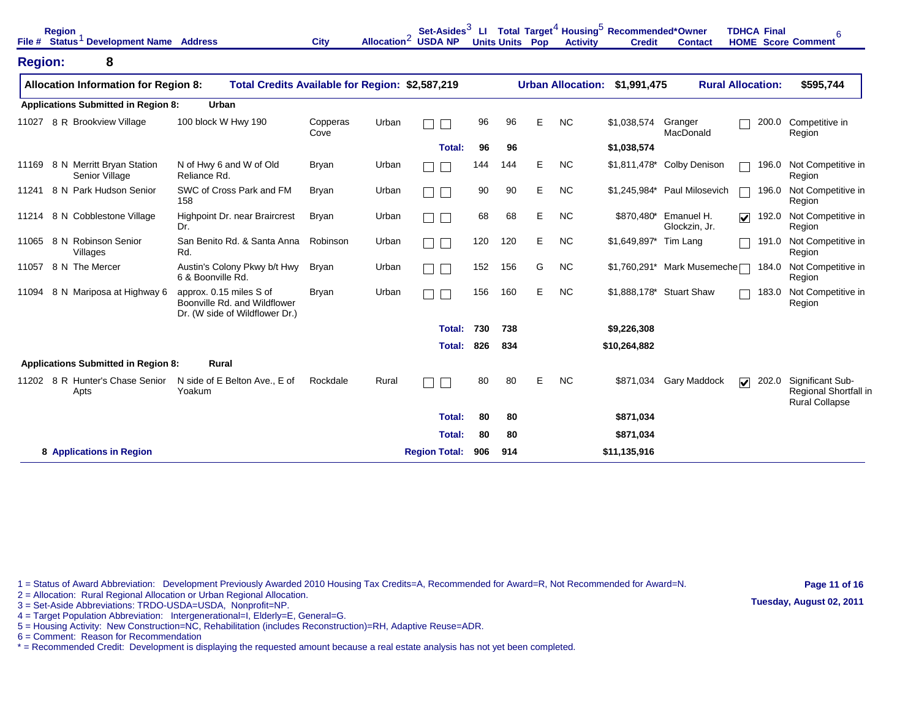|                | <b>Region</b><br>File # Status <sup>1</sup> Development Name Address |                                                                                           | <b>City</b>      | Allocation <sup>2</sup> USDA NP | Set-Asides <sup>3</sup> | <b>LI</b> |     | <b>Units Units Pop</b> | <b>Activity</b>          | Total Target <sup>4</sup> Housing <sup>5</sup> Recommended*Owner<br><b>Credit</b> | <b>Contact</b>                         | <b>TDHCA Final</b>               | 6<br><b>HOME</b> Score Comment                                     |
|----------------|----------------------------------------------------------------------|-------------------------------------------------------------------------------------------|------------------|---------------------------------|-------------------------|-----------|-----|------------------------|--------------------------|-----------------------------------------------------------------------------------|----------------------------------------|----------------------------------|--------------------------------------------------------------------|
| <b>Region:</b> | 8                                                                    |                                                                                           |                  |                                 |                         |           |     |                        |                          |                                                                                   |                                        |                                  |                                                                    |
|                | <b>Allocation Information for Region 8:</b>                          | Total Credits Available for Region: \$2,587,219                                           |                  |                                 |                         |           |     |                        | <b>Urban Allocation:</b> | \$1,991,475                                                                       |                                        | <b>Rural Allocation:</b>         | \$595,744                                                          |
|                | <b>Applications Submitted in Region 8:</b>                           | <b>Urban</b>                                                                              |                  |                                 |                         |           |     |                        |                          |                                                                                   |                                        |                                  |                                                                    |
| 11027          | 8 R Brookview Village                                                | 100 block W Hwy 190                                                                       | Copperas<br>Cove | Urban                           |                         | 96        | 96  | E                      | <b>NC</b>                | \$1,038,574                                                                       | Granger<br>MacDonald                   | 200.0                            | Competitive in<br>Region                                           |
|                |                                                                      |                                                                                           |                  |                                 | <b>Total:</b>           | 96        | 96  |                        |                          | \$1,038,574                                                                       |                                        |                                  |                                                                    |
|                | 11169 8 N Merritt Bryan Station<br>Senior Village                    | N of Hwy 6 and W of Old<br>Reliance Rd.                                                   | <b>Bryan</b>     | Urban                           |                         | 144       | 144 | Е                      | <b>NC</b>                | \$1,811,478*                                                                      | Colby Denison                          | 196.0                            | Not Competitive in<br>Region                                       |
| 11241          | 8 N Park Hudson Senior                                               | SWC of Cross Park and FM<br>158                                                           | <b>Bryan</b>     | Urban                           |                         | 90        | 90  | E                      | <b>NC</b>                | \$1,245,984*                                                                      | <b>Paul Milosevich</b>                 | 196.0                            | Not Competitive in<br>Region                                       |
|                | 11214 8 N Cobblestone Village                                        | Highpoint Dr. near Braircrest<br>Dr.                                                      | <b>Bryan</b>     | Urban                           |                         | 68        | 68  | E                      | <b>NC</b>                | \$870,480*                                                                        | Emanuel H.<br>Glockzin, Jr.            | 192.0<br>☑                       | Not Competitive in<br>Region                                       |
|                | 11065 8 N Robinson Senior<br>Villages                                | San Benito Rd. & Santa Anna<br>Rd.                                                        | Robinson         | Urban                           |                         | 120       | 120 | E                      | <b>NC</b>                | \$1,649,897* Tim Lang                                                             |                                        |                                  | 191.0 Not Competitive in<br>Region                                 |
| 11057          | 8 N The Mercer                                                       | Austin's Colony Pkwy b/t Hwy<br>6 & Boonville Rd.                                         | Bryan            | Urban                           | $\Box$                  | 152       | 156 | G                      | <b>NC</b>                |                                                                                   | $$1,760,291*$ Mark Musemeche $\square$ | 184.0                            | Not Competitive in<br>Region                                       |
| 11094          | 8 N Mariposa at Highway 6                                            | approx. 0.15 miles S of<br>Boonville Rd. and Wildflower<br>Dr. (W side of Wildflower Dr.) | <b>Bryan</b>     | Urban                           |                         | 156       | 160 | E                      | <b>NC</b>                |                                                                                   | \$1,888,178* Stuart Shaw               | 183.0                            | Not Competitive in<br>Region                                       |
|                |                                                                      |                                                                                           |                  |                                 | Total:                  | 730       | 738 |                        |                          | \$9,226,308                                                                       |                                        |                                  |                                                                    |
|                |                                                                      |                                                                                           |                  |                                 | Total:                  | 826       | 834 |                        |                          | \$10,264,882                                                                      |                                        |                                  |                                                                    |
|                | <b>Applications Submitted in Region 8:</b>                           | Rural                                                                                     |                  |                                 |                         |           |     |                        |                          |                                                                                   |                                        |                                  |                                                                    |
|                | 11202 8 R Hunter's Chase Senior<br>Apts                              | N side of E Belton Ave., E of<br>Yoakum                                                   | Rockdale         | Rural                           |                         | 80        | 80  | E                      | <b>NC</b>                | \$871,034                                                                         | Gary Maddock                           | $\overline{\mathbf{v}}$<br>202.0 | Significant Sub-<br>Regional Shortfall in<br><b>Rural Collapse</b> |
|                |                                                                      |                                                                                           |                  |                                 | Total:                  | 80        | 80  |                        |                          | \$871,034                                                                         |                                        |                                  |                                                                    |
|                |                                                                      |                                                                                           |                  |                                 | Total:                  | 80        | 80  |                        |                          | \$871,034                                                                         |                                        |                                  |                                                                    |
|                | 8 Applications in Region                                             |                                                                                           |                  |                                 | <b>Region Total:</b>    | 906       | 914 |                        |                          | \$11,135,916                                                                      |                                        |                                  |                                                                    |

2 = Allocation: Rural Regional Allocation or Urban Regional Allocation.

3 = Set-Aside Abbreviations: TRDO-USDA=USDA, Nonprofit=NP.

4 = Target Population Abbreviation: Intergenerational=I, Elderly=E, General=G.

5 = Housing Activity: New Construction=NC, Rehabilitation (includes Reconstruction)=RH, Adaptive Reuse=ADR.

6 = Comment: Reason for Recommendation

\* = Recommended Credit: Development is displaying the requested amount because a real estate analysis has not yet been completed.

**Page 11 of 16 Tuesday, August 02, 2011**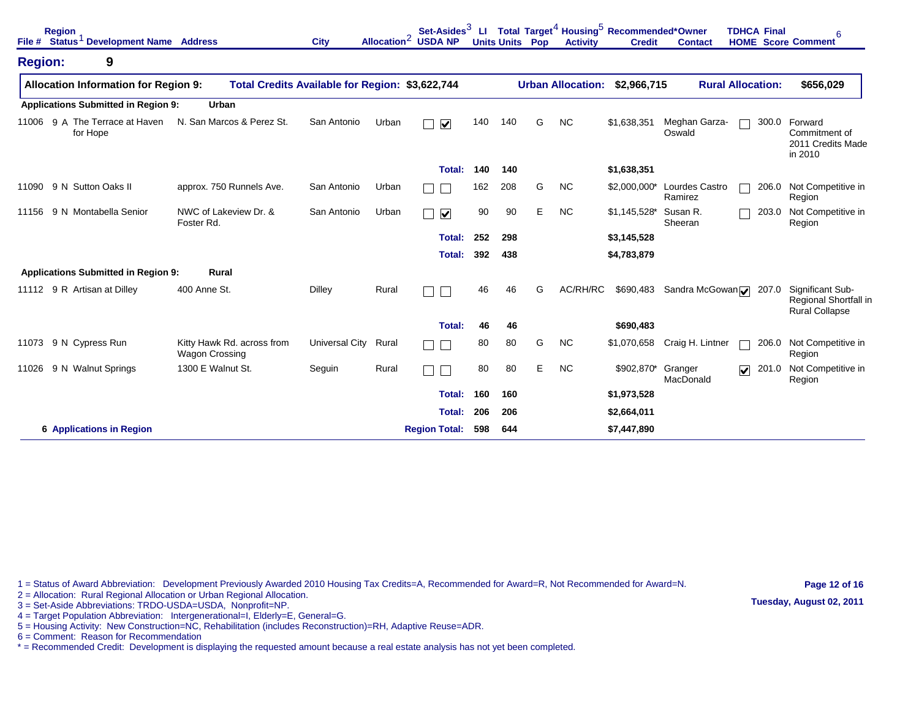| File #         | <b>Region</b><br>Status <sup>1</sup> Development Name Address |                                                     | <b>City</b>                                     |       | Set-Asides <sup>3</sup><br>Allocation <sup>2</sup> USDA NP | LL. | <b>Units Units Pop</b> |   | <b>Activity</b>          | Total Target <sup>4</sup> Housing <sup>5</sup> Recommended*Owner<br><b>Credit</b> | <b>Contact</b>            | <b>TDHCA Final</b><br><b>HOME</b> Score Comment | 6                                                                  |
|----------------|---------------------------------------------------------------|-----------------------------------------------------|-------------------------------------------------|-------|------------------------------------------------------------|-----|------------------------|---|--------------------------|-----------------------------------------------------------------------------------|---------------------------|-------------------------------------------------|--------------------------------------------------------------------|
| <b>Region:</b> | 9                                                             |                                                     |                                                 |       |                                                            |     |                        |   |                          |                                                                                   |                           |                                                 |                                                                    |
|                | <b>Allocation Information for Region 9:</b>                   |                                                     | Total Credits Available for Region: \$3,622,744 |       |                                                            |     |                        |   | <b>Urban Allocation:</b> | \$2,966,715                                                                       |                           | <b>Rural Allocation:</b>                        | \$656,029                                                          |
|                | <b>Applications Submitted in Region 9:</b>                    | Urban                                               |                                                 |       |                                                            |     |                        |   |                          |                                                                                   |                           |                                                 |                                                                    |
| 11006          | 9 A The Terrace at Haven<br>for Hope                          | N. San Marcos & Perez St.                           | San Antonio                                     | Urban | $\overline{\mathbf{v}}$                                    | 140 | 140                    | G | <b>NC</b>                | \$1,638,351                                                                       | Meghan Garza-<br>Oswald   | 300.0                                           | Forward<br>Commitment of<br>2011 Credits Made<br>in 2010           |
|                |                                                               |                                                     |                                                 |       | Total:                                                     | 140 | 140                    |   |                          | \$1,638,351                                                                       |                           |                                                 |                                                                    |
| 11090          | 9 N Sutton Oaks II                                            | approx. 750 Runnels Ave.                            | San Antonio                                     | Urban |                                                            | 162 | 208                    | G | <b>NC</b>                | \$2,000,000*                                                                      | Lourdes Castro<br>Ramirez | 206.0                                           | Not Competitive in<br>Region                                       |
| 11156          | 9 N Montabella Senior                                         | NWC of Lakeview Dr. &<br>Foster Rd.                 | San Antonio                                     | Urban | $\boxed{\blacktriangledown}$                               | 90  | 90                     | E | <b>NC</b>                | \$1,145,528*                                                                      | Susan R.<br>Sheeran       | 203.0                                           | Not Competitive in<br>Region                                       |
|                |                                                               |                                                     |                                                 |       | Total:                                                     | 252 | 298                    |   |                          | \$3,145,528                                                                       |                           |                                                 |                                                                    |
|                |                                                               |                                                     |                                                 |       | Total:                                                     | 392 | 438                    |   |                          | \$4,783,879                                                                       |                           |                                                 |                                                                    |
|                | <b>Applications Submitted in Region 9:</b>                    | Rural                                               |                                                 |       |                                                            |     |                        |   |                          |                                                                                   |                           |                                                 |                                                                    |
|                | 11112 9 R Artisan at Dilley                                   | 400 Anne St.                                        | Dilley                                          | Rural |                                                            | 46  | 46                     | G | AC/RH/RC                 | \$690,483                                                                         | Sandra McGowan            | 207.0                                           | Significant Sub-<br>Regional Shortfall in<br><b>Rural Collapse</b> |
|                |                                                               |                                                     |                                                 |       | Total:                                                     | 46  | 46                     |   |                          | \$690,483                                                                         |                           |                                                 |                                                                    |
| 11073          | 9 N Cypress Run                                               | Kitty Hawk Rd. across from<br><b>Wagon Crossing</b> | Universal City                                  | Rural |                                                            | 80  | 80                     | G | <b>NC</b>                | \$1,070,658                                                                       | Craig H. Lintner          | 206.0                                           | Not Competitive in<br>Region                                       |
| 11026          | 9 N Walnut Springs                                            | 1300 E Walnut St.                                   | Seguin                                          | Rural |                                                            | 80  | 80                     | Е | <b>NC</b>                | \$902,870*                                                                        | Granger<br>MacDonald      | $\overline{\mathbf{v}}$<br>201.0                | Not Competitive in<br>Region                                       |
|                |                                                               |                                                     |                                                 |       | Total:                                                     | 160 | 160                    |   |                          | \$1,973,528                                                                       |                           |                                                 |                                                                    |
|                |                                                               |                                                     |                                                 |       | Total:                                                     | 206 | 206                    |   |                          | \$2,664,011                                                                       |                           |                                                 |                                                                    |
|                | <b>6 Applications in Region</b>                               |                                                     |                                                 |       | <b>Region Total:</b>                                       | 598 | 644                    |   |                          | \$7,447,890                                                                       |                           |                                                 |                                                                    |

2 = Allocation: Rural Regional Allocation or Urban Regional Allocation.

3 = Set-Aside Abbreviations: TRDO-USDA=USDA, Nonprofit=NP.

4 = Target Population Abbreviation: Intergenerational=I, Elderly=E, General=G.

5 = Housing Activity: New Construction=NC, Rehabilitation (includes Reconstruction)=RH, Adaptive Reuse=ADR.

6 = Comment: Reason for Recommendation

\* = Recommended Credit: Development is displaying the requested amount because a real estate analysis has not yet been completed.

**Page 12 of 16 Tuesday, August 02, 2011**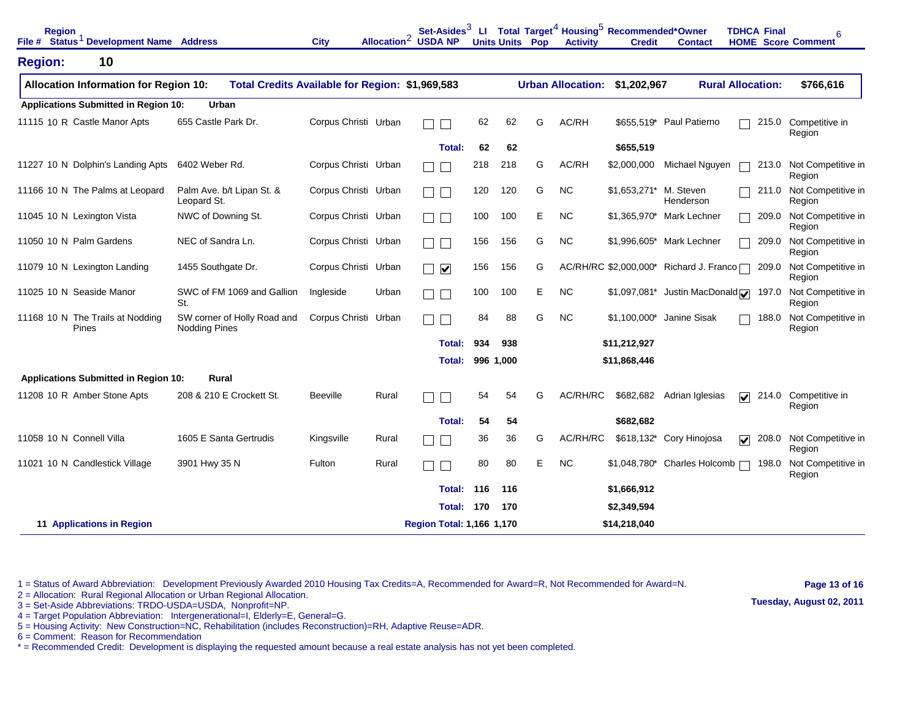| <b>Region</b>              | File # Status <sup>1</sup> Development Name Address |                                                     | <b>City</b>          |       | Set-Asides $^3$<br>Allocation <sup>2</sup> USDA NP |     |           | <b>Units Units Pop</b> | <b>Activity</b>          | LI Total Target <sup>4</sup> Housing <sup>5</sup> Recommended*Owner<br><b>Credit</b> | <b>Contact</b>                          | <b>TDHCA Final</b><br><b>HOME</b> Score Comment | 6                            |
|----------------------------|-----------------------------------------------------|-----------------------------------------------------|----------------------|-------|----------------------------------------------------|-----|-----------|------------------------|--------------------------|--------------------------------------------------------------------------------------|-----------------------------------------|-------------------------------------------------|------------------------------|
| <b>Region:</b>             | 10                                                  |                                                     |                      |       |                                                    |     |           |                        |                          |                                                                                      |                                         |                                                 |                              |
|                            | <b>Allocation Information for Region 10:</b>        | Total Credits Available for Region: \$1,969,583     |                      |       |                                                    |     |           |                        | <b>Urban Allocation:</b> | \$1,202,967                                                                          |                                         | <b>Rural Allocation:</b>                        | \$766,616                    |
|                            | <b>Applications Submitted in Region 10:</b>         | Urban                                               |                      |       |                                                    |     |           |                        |                          |                                                                                      |                                         |                                                 |                              |
|                            | 11115 10 R Castle Manor Apts                        | 655 Castle Park Dr.                                 | Corpus Christi Urban |       |                                                    | 62  | 62        | G                      | AC/RH                    | \$655,519*                                                                           | Paul Patierno                           | 215.0                                           | Competitive in<br>Region     |
|                            |                                                     |                                                     |                      |       | <b>Total:</b>                                      | 62  | 62        |                        |                          | \$655,519                                                                            |                                         |                                                 |                              |
|                            | 11227 10 N Dolphin's Landing Apts                   | 6402 Weber Rd.                                      | Corpus Christi Urban |       |                                                    | 218 | 218       | G                      | AC/RH                    | \$2,000,000                                                                          | Michael Nguyen                          | 213.0                                           | Not Competitive in<br>Region |
|                            | 11166 10 N The Palms at Leopard                     | Palm Ave. b/t Lipan St. &<br>Leopard St.            | Corpus Christi Urban |       |                                                    | 120 | 120       | G                      | <b>NC</b>                | $$1,653,271*$                                                                        | M. Steven<br>Henderson                  | 211.0                                           | Not Competitive in<br>Region |
| 11045 10 N Lexington Vista |                                                     | NWC of Downing St.                                  | Corpus Christi Urban |       |                                                    | 100 | 100       | E                      | <b>NC</b>                | \$1,365,970*                                                                         | Mark Lechner                            | 209.0                                           | Not Competitive in<br>Region |
| 11050 10 N Palm Gardens    |                                                     | NEC of Sandra Ln.                                   | Corpus Christi Urban |       |                                                    | 156 | 156       | G                      | <b>NC</b>                | \$1,996,605*                                                                         | Mark Lechner                            | 209.0                                           | Not Competitive in<br>Region |
|                            | 11079 10 N Lexington Landing                        | 1455 Southgate Dr.                                  | Corpus Christi Urban |       | $\overline{\mathbf{v}}$                            | 156 | 156       | G                      |                          |                                                                                      | AC/RH/RC \$2,000,000* Richard J. Franco | 209.0                                           | Not Competitive in<br>Region |
| 11025 10 N Seaside Manor   |                                                     | SWC of FM 1069 and Gallion<br>St.                   | Ingleside            | Urban |                                                    | 100 | 100       | E                      | <b>NC</b>                | $$1,097,081*$                                                                        | Justin MacDonald <b>√</b>               | 197.0                                           | Not Competitive in<br>Region |
|                            | 11168 10 N The Trails at Nodding<br>Pines           | SW corner of Holly Road and<br><b>Nodding Pines</b> | Corpus Christi Urban |       |                                                    | 84  | 88        | G                      | <b>NC</b>                |                                                                                      | \$1,100,000* Janine Sisak               | 188.0                                           | Not Competitive in<br>Region |
|                            |                                                     |                                                     |                      |       | Total:                                             | 934 | 938       |                        |                          | \$11,212,927                                                                         |                                         |                                                 |                              |
|                            |                                                     |                                                     |                      |       | Total:                                             |     | 996 1,000 |                        |                          | \$11,868,446                                                                         |                                         |                                                 |                              |
|                            | <b>Applications Submitted in Region 10:</b>         | <b>Rural</b>                                        |                      |       |                                                    |     |           |                        |                          |                                                                                      |                                         |                                                 |                              |
|                            | 11208 10 R Amber Stone Apts                         | 208 & 210 E Crockett St.                            | <b>Beeville</b>      | Rural |                                                    | 54  | 54        | G                      | AC/RH/RC                 | \$682,682                                                                            | Adrian Iglesias                         | 214.0<br>☑                                      | Competitive in<br>Region     |
|                            |                                                     |                                                     |                      |       | <b>Total:</b>                                      | 54  | 54        |                        |                          | \$682,682                                                                            |                                         |                                                 |                              |
| 11058 10 N Connell Villa   |                                                     | 1605 E Santa Gertrudis                              | Kingsville           | Rural |                                                    | 36  | 36        | G                      | AC/RH/RC                 |                                                                                      | \$618,132* Cory Hinojosa                | 208.0<br>$\overline{\mathbf{v}}$                | Not Competitive in<br>Region |
|                            | 11021 10 N Candlestick Village                      | 3901 Hwy 35 N                                       | Fulton               | Rural |                                                    | 80  | 80        | E.                     | <b>NC</b>                |                                                                                      | $$1,048,780*$ Charles Holcomb $\Box$    | 198.0                                           | Not Competitive in<br>Region |
|                            |                                                     |                                                     |                      |       | <b>Total:</b>                                      | 116 | 116       |                        |                          | \$1,666,912                                                                          |                                         |                                                 |                              |
|                            |                                                     |                                                     |                      |       | Total:                                             | 170 | 170       |                        |                          | \$2,349,594                                                                          |                                         |                                                 |                              |
|                            | 11 Applications in Region                           |                                                     |                      |       | Region Total: 1,166 1,170                          |     |           |                        |                          | \$14,218,040                                                                         |                                         |                                                 |                              |

2 = Allocation: Rural Regional Allocation or Urban Regional Allocation.

3 = Set-Aside Abbreviations: TRDO-USDA=USDA, Nonprofit=NP.

4 = Target Population Abbreviation: Intergenerational=I, Elderly=E, General=G.

5 = Housing Activity: New Construction=NC, Rehabilitation (includes Reconstruction)=RH, Adaptive Reuse=ADR.

6 = Comment: Reason for Recommendation

\* = Recommended Credit: Development is displaying the requested amount because a real estate analysis has not yet been completed.

**Page 13 of 16 Tuesday, August 02, 2011**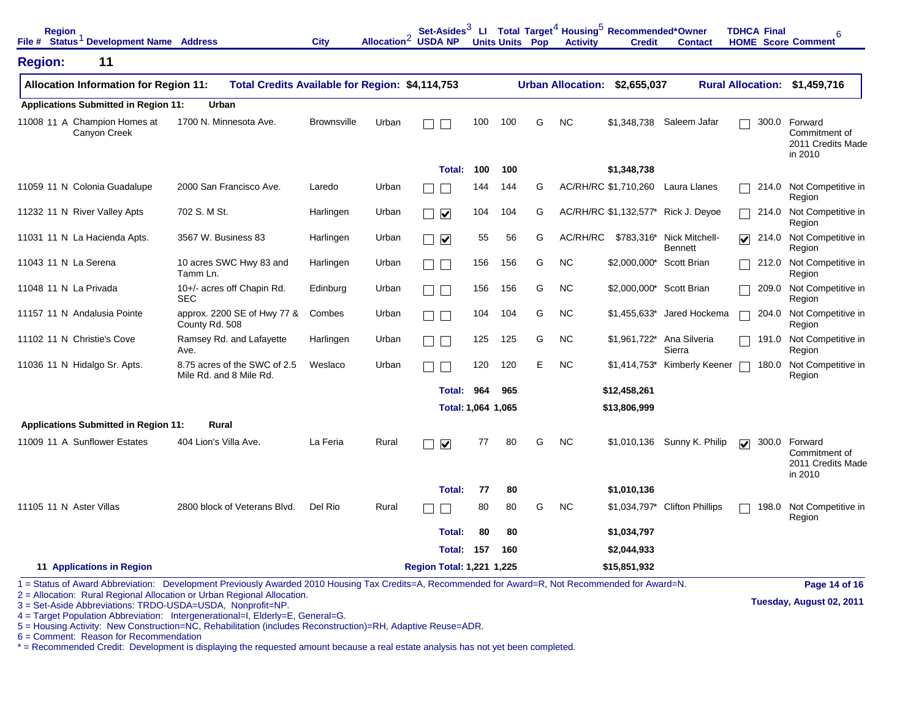| <b>Region</b>           | File # Status <sup>1</sup> Development Name Address |                                                                                                                                                    | <b>City</b>        | Allocation <sup>2</sup> USDA NP |                                   |     |     | <b>Units Units Pop</b> | <b>Activity</b> | Set-Asides <sup>3</sup> Ll Total Target <sup>4</sup> Housing <sup>5</sup> Recommended*Owner<br><b>Credit</b> | <b>Contact</b>                              | <b>TDHCA Final</b><br><b>HOME</b> Score Comment | 6                                                              |
|-------------------------|-----------------------------------------------------|----------------------------------------------------------------------------------------------------------------------------------------------------|--------------------|---------------------------------|-----------------------------------|-----|-----|------------------------|-----------------|--------------------------------------------------------------------------------------------------------------|---------------------------------------------|-------------------------------------------------|----------------------------------------------------------------|
| <b>Region:</b>          | 11                                                  |                                                                                                                                                    |                    |                                 |                                   |     |     |                        |                 |                                                                                                              |                                             |                                                 |                                                                |
|                         | <b>Allocation Information for Region 11:</b>        | Total Credits Available for Region: \$4,114,753                                                                                                    |                    |                                 |                                   |     |     |                        |                 | Urban Allocation: \$2,655,037                                                                                |                                             | <b>Rural Allocation:</b>                        | \$1,459,716                                                    |
|                         | <b>Applications Submitted in Region 11:</b>         | Urban                                                                                                                                              |                    |                                 |                                   |     |     |                        |                 |                                                                                                              |                                             |                                                 |                                                                |
|                         | 11008 11 A Champion Homes at<br>Canyon Creek        | 1700 N. Minnesota Ave.                                                                                                                             | <b>Brownsville</b> | Urban                           |                                   | 100 | 100 | G                      | <b>NC</b>       |                                                                                                              | \$1,348,738 Saleem Jafar                    |                                                 | 300.0 Forward<br>Commitment of<br>2011 Credits Made<br>in 2010 |
|                         |                                                     |                                                                                                                                                    |                    |                                 | Total:                            | 100 | 100 |                        |                 | \$1,348,738                                                                                                  |                                             |                                                 |                                                                |
|                         | 11059 11 N Colonia Guadalupe                        | 2000 San Francisco Ave.                                                                                                                            | Laredo             | Urban                           |                                   | 144 | 144 | G                      |                 | AC/RH/RC \$1,710,260                                                                                         | Laura Llanes                                | 214.0                                           | Not Competitive in<br>Region                                   |
|                         | 11232 11 N River Valley Apts                        | 702 S. M St.                                                                                                                                       | Harlingen          | Urban                           | $\Box$ $\triangledown$            | 104 | 104 | G                      |                 |                                                                                                              | AC/RH/RC \$1,132,577* Rick J. Deyoe         | 214.0                                           | Not Competitive in<br>Region                                   |
|                         | 11031 11 N La Hacienda Apts.                        | 3567 W. Business 83                                                                                                                                | Harlingen          | Urban                           | $\overline{\mathbf{v}}$<br>$\Box$ | 55  | 56  | G                      | AC/RH/RC        |                                                                                                              | \$783,316* Nick Mitchell-<br><b>Bennett</b> | 214.0<br>$\overline{\mathbf{v}}$                | Not Competitive in<br>Region                                   |
| 11043 11 N La Serena    |                                                     | 10 acres SWC Hwy 83 and<br>Tamm Ln.                                                                                                                | Harlingen          | Urban                           |                                   | 156 | 156 | G                      | <b>NC</b>       | \$2,000,000*                                                                                                 | <b>Scott Brian</b>                          | 212.0                                           | Not Competitive in<br>Region                                   |
| 11048 11 N La Privada   |                                                     | 10+/- acres off Chapin Rd.<br><b>SEC</b>                                                                                                           | Edinburg           | Urban                           | TI F                              | 156 | 156 | G                      | <b>NC</b>       | \$2,000,000* Scott Brian                                                                                     |                                             | 209.0                                           | Not Competitive in<br>Region                                   |
|                         | 11157 11 N Andalusia Pointe                         | approx. 2200 SE of Hwy 77 &<br>County Rd. 508                                                                                                      | Combes             | Urban                           | ┓                                 | 104 | 104 | G                      | <b>NC</b>       | $$1,455,633$ *                                                                                               | Jared Hockema                               | 204.0                                           | Not Competitive in<br>Region                                   |
|                         | 11102 11 N Christie's Cove                          | Ramsey Rd. and Lafayette<br>Ave.                                                                                                                   | Harlingen          | Urban                           |                                   | 125 | 125 | G                      | <b>NC</b>       | \$1,961,722*                                                                                                 | Ana Silveria<br>Sierra                      | 191.0                                           | Not Competitive in<br>Region                                   |
|                         | 11036 11 N Hidalgo Sr. Apts.                        | 8.75 acres of the SWC of 2.5<br>Mile Rd. and 8 Mile Rd.                                                                                            | Weslaco            | Urban                           |                                   | 120 | 120 | E                      | <b>NC</b>       |                                                                                                              | \$1,414,753* Kimberly Keener                | 180.0                                           | Not Competitive in<br>Region                                   |
|                         |                                                     |                                                                                                                                                    |                    |                                 | Total:                            | 964 | 965 |                        |                 | \$12,458,261                                                                                                 |                                             |                                                 |                                                                |
|                         |                                                     |                                                                                                                                                    |                    |                                 | Total: 1,064 1,065                |     |     |                        |                 | \$13,806,999                                                                                                 |                                             |                                                 |                                                                |
|                         | <b>Applications Submitted in Region 11:</b>         | Rural                                                                                                                                              |                    |                                 |                                   |     |     |                        |                 |                                                                                                              |                                             |                                                 |                                                                |
|                         | 11009 11 A Sunflower Estates                        | 404 Lion's Villa Ave.                                                                                                                              | La Feria           | Rural                           | $\blacktriangledown$              | 77  | 80  | G                      | <b>NC</b>       |                                                                                                              | \$1,010,136 Sunny K. Philip                 | $\overline{\mathbf{v}}$                         | 300.0 Forward<br>Commitment of<br>2011 Credits Made<br>in 2010 |
|                         |                                                     |                                                                                                                                                    |                    |                                 | Total:                            | 77  | 80  |                        |                 | \$1,010,136                                                                                                  |                                             |                                                 |                                                                |
| 11105 11 N Aster Villas |                                                     | 2800 block of Veterans Blvd.                                                                                                                       | Del Rio            | Rural                           |                                   | 80  | 80  | G                      | <b>NC</b>       | \$1,034,797*                                                                                                 | <b>Clifton Phillips</b>                     | 198.0                                           | Not Competitive in<br>Region                                   |
|                         |                                                     |                                                                                                                                                    |                    |                                 | <b>Total:</b>                     | 80  | 80  |                        |                 | \$1,034,797                                                                                                  |                                             |                                                 |                                                                |
|                         |                                                     |                                                                                                                                                    |                    |                                 | <b>Total: 157</b>                 |     | 160 |                        |                 | \$2,044,933                                                                                                  |                                             |                                                 |                                                                |
|                         | 11 Applications in Region                           |                                                                                                                                                    |                    |                                 | <b>Region Total: 1,221 1,225</b>  |     |     |                        |                 | \$15,851,932                                                                                                 |                                             |                                                 |                                                                |
|                         |                                                     | 1 = Status of Award Abbreviation: Development Previously Awarded 2010 Housing Tax Credits=A, Recommended for Award=R, Not Recommended for Award=N. |                    |                                 |                                   |     |     |                        |                 |                                                                                                              |                                             |                                                 | Page 14 of 16                                                  |

2 = Allocation: Rural Regional Allocation or Urban Regional Allocation.

3 = Set-Aside Abbreviations: TRDO-USDA=USDA, Nonprofit=NP.

4 = Target Population Abbreviation: Intergenerational=I, Elderly=E, General=G.

5 = Housing Activity: New Construction=NC, Rehabilitation (includes Reconstruction)=RH, Adaptive Reuse=ADR.

6 = Comment: Reason for Recommendation

\* = Recommended Credit: Development is displaying the requested amount because a real estate analysis has not yet been completed.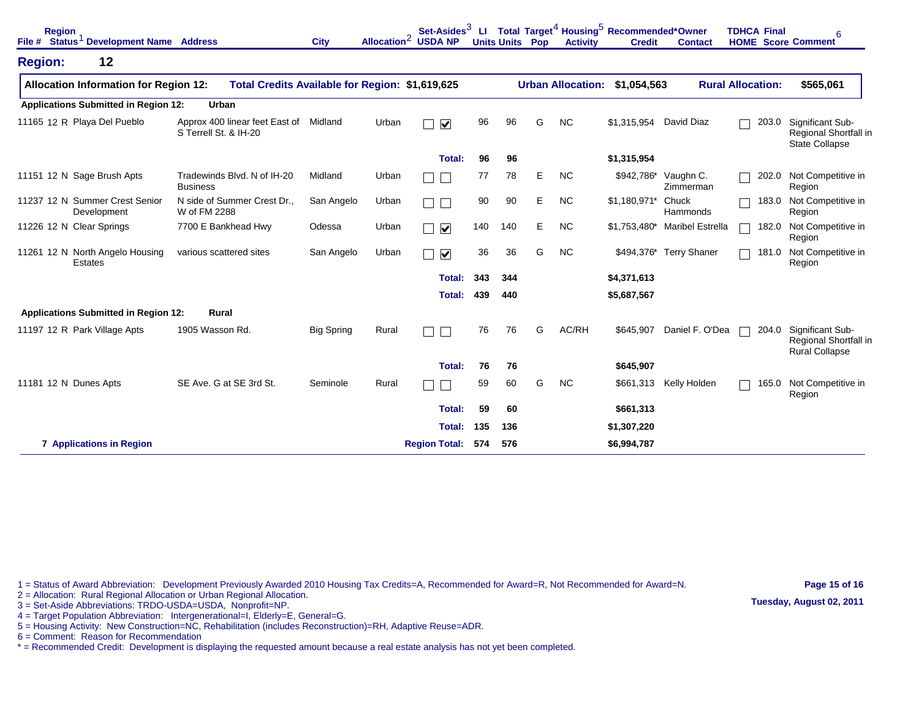| <b>Region</b>         | File # Status <sup>1</sup> Development Name Address |                                                         | <b>City</b>       | Allocation <sup>2</sup> USDA NP | Set-Asides $3$               | LL. | <b>Units Units Pop</b> |   | <b>Activity</b>          | Total Target <sup>4</sup> Housing <sup>5</sup> Recommended*Owner<br><b>Credit</b> | <b>Contact</b>                | <b>TDHCA Final</b><br><b>HOME</b> Score Comment | 6                                                                  |
|-----------------------|-----------------------------------------------------|---------------------------------------------------------|-------------------|---------------------------------|------------------------------|-----|------------------------|---|--------------------------|-----------------------------------------------------------------------------------|-------------------------------|-------------------------------------------------|--------------------------------------------------------------------|
| <b>Region:</b>        | 12                                                  |                                                         |                   |                                 |                              |     |                        |   |                          |                                                                                   |                               |                                                 |                                                                    |
|                       | <b>Allocation Information for Region 12:</b>        | Total Credits Available for Region: \$1,619,625         |                   |                                 |                              |     |                        |   | <b>Urban Allocation:</b> | \$1,054,563                                                                       |                               | <b>Rural Allocation:</b>                        | \$565,061                                                          |
|                       | <b>Applications Submitted in Region 12:</b>         | <b>Urban</b>                                            |                   |                                 |                              |     |                        |   |                          |                                                                                   |                               |                                                 |                                                                    |
|                       | 11165 12 R Playa Del Pueblo                         | Approx 400 linear feet East of<br>S Terrell St. & IH-20 | Midland           | Urban                           | $\overline{\mathbf{v}}$<br>Г | 96  | 96                     | G | <b>NC</b>                | \$1,315,954                                                                       | David Diaz                    | 203.0                                           | Significant Sub-<br>Regional Shortfall in<br><b>State Collapse</b> |
|                       |                                                     |                                                         |                   |                                 | Total:                       | 96  | 96                     |   |                          | \$1,315,954                                                                       |                               |                                                 |                                                                    |
|                       | 11151 12 N Sage Brush Apts                          | Tradewinds Blvd. N of IH-20<br><b>Business</b>          | Midland           | Urban                           | Г<br>Г                       | 77  | 78                     | Е | <b>NC</b>                | \$942,786*                                                                        | Vaughn C.<br>Zimmerman        | 202.0                                           | Not Competitive in<br>Region                                       |
|                       | 11237 12 N Summer Crest Senior<br>Development       | N side of Summer Crest Dr<br>W of FM 2288               | San Angelo        | Urban                           | $\Box$<br>$\mathbf{L}$       | 90  | 90                     | E | <b>NC</b>                | $$1,180,971*$                                                                     | Chuck<br>Hammonds             |                                                 | 183.0 Not Competitive in<br>Region                                 |
|                       | 11226 12 N Clear Springs                            | 7700 E Bankhead Hwy                                     | Odessa            | Urban                           | $\overline{\mathbf{v}}$<br>Г | 140 | 140                    | Е | <b>NC</b>                |                                                                                   | \$1,753,480* Maribel Estrella | 182.0                                           | Not Competitive in<br>Region                                       |
|                       | 11261 12 N North Angelo Housing<br>Estates          | various scattered sites                                 | San Angelo        | Urban                           | $\overline{\mathbf{v}}$<br>Г | 36  | 36                     | G | <b>NC</b>                | \$494,376*                                                                        | <b>Terry Shaner</b>           | 181.0                                           | Not Competitive in<br>Region                                       |
|                       |                                                     |                                                         |                   |                                 | <b>Total:</b>                | 343 | 344                    |   |                          | \$4,371,613                                                                       |                               |                                                 |                                                                    |
|                       |                                                     |                                                         |                   |                                 | Total:                       | 439 | 440                    |   |                          | \$5,687,567                                                                       |                               |                                                 |                                                                    |
|                       | <b>Applications Submitted in Region 12:</b>         | <b>Rural</b>                                            |                   |                                 |                              |     |                        |   |                          |                                                                                   |                               |                                                 |                                                                    |
|                       | 11197 12 R Park Village Apts                        | 1905 Wasson Rd.                                         | <b>Big Spring</b> | Rural                           | Г                            | 76  | 76                     | G | AC/RH                    | \$645,907                                                                         | Daniel F. O'Dea               | 204.0                                           | Significant Sub-<br>Regional Shortfall in<br><b>Rural Collapse</b> |
|                       |                                                     |                                                         |                   |                                 | Total:                       | 76  | 76                     |   |                          | \$645,907                                                                         |                               |                                                 |                                                                    |
| 11181 12 N Dunes Apts |                                                     | SE Ave. G at SE 3rd St.                                 | Seminole          | Rural                           | Г                            | 59  | 60                     | G | <b>NC</b>                | \$661,313                                                                         | Kelly Holden                  | 165.0                                           | Not Competitive in<br>Region                                       |
|                       |                                                     |                                                         |                   |                                 | Total:                       | 59  | 60                     |   |                          | \$661,313                                                                         |                               |                                                 |                                                                    |
|                       |                                                     |                                                         |                   |                                 | <b>Total:</b>                | 135 | 136                    |   |                          | \$1,307,220                                                                       |                               |                                                 |                                                                    |
|                       | <b>7 Applications in Region</b>                     |                                                         |                   |                                 | <b>Region Total:</b>         | 574 | 576                    |   |                          | \$6,994,787                                                                       |                               |                                                 |                                                                    |

1 = Status of Award Abbreviation: Development Previously Awarded 2010 Housing Tax Credits=A, Recommended for Award=R, Not Recommended for Award=N. 2 = Allocation: Rural Regional Allocation or Urban Regional Allocation.

**Page 15 of 16 Tuesday, August 02, 2011**

3 = Set-Aside Abbreviations: TRDO-USDA=USDA, Nonprofit=NP.

4 = Target Population Abbreviation: Intergenerational=I, Elderly=E, General=G.

5 = Housing Activity: New Construction=NC, Rehabilitation (includes Reconstruction)=RH, Adaptive Reuse=ADR.

6 = Comment: Reason for Recommendation

\* = Recommended Credit: Development is displaying the requested amount because a real estate analysis has not yet been completed.